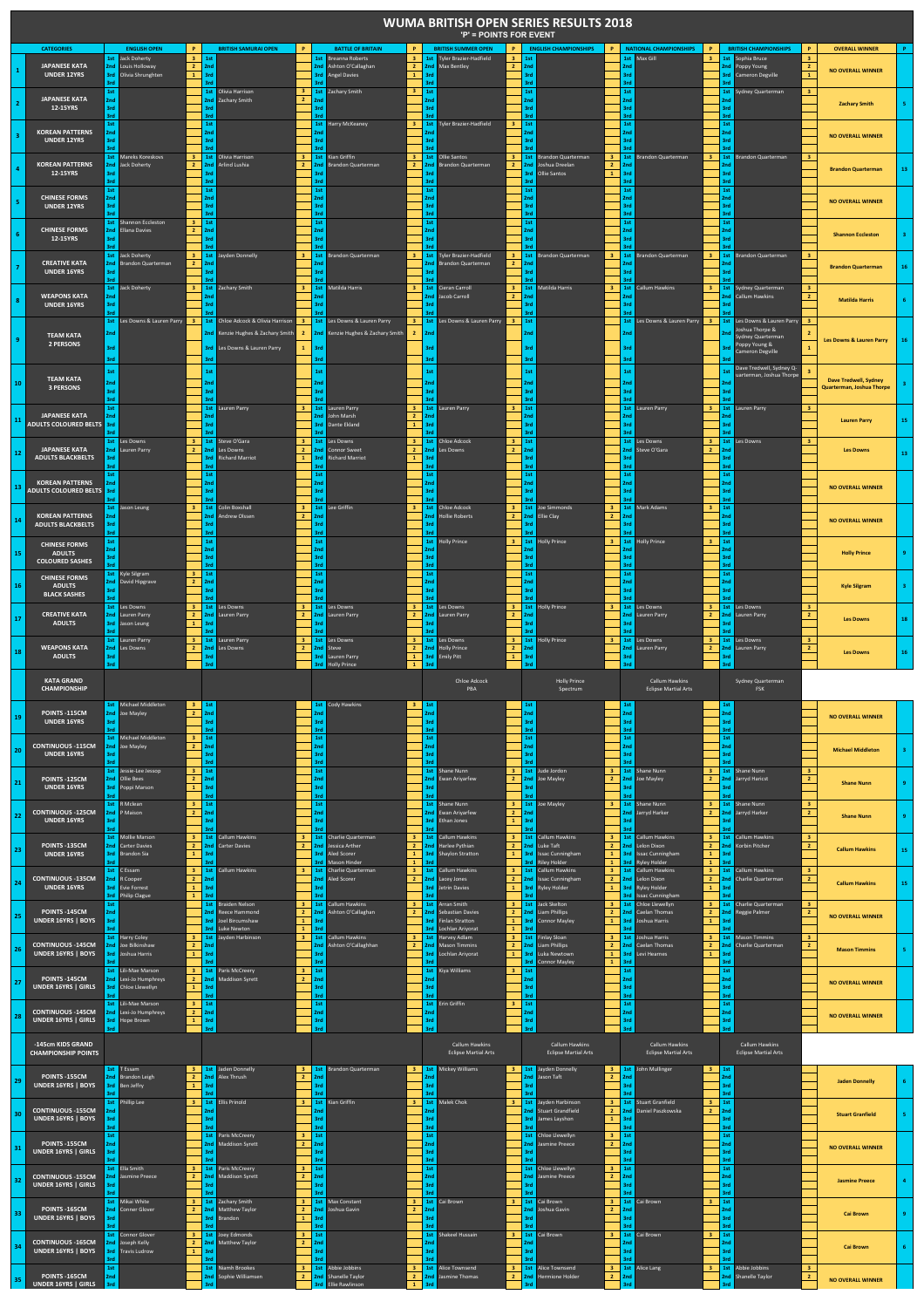| <b>CATEGORIES</b><br><b>ENGLISH OPEN</b><br><b>BRITISH SAMURAI OPEN</b><br><b>BATTLE OF BRITAIN</b><br><b>BRITISH SUMMER OPEN</b><br><b>ENGLISH CHAMPIONSHIPS</b><br><b>NATIONAL CHAMPIONSHIPS</b><br><b>BRITISH CHAMPIONSHIPS</b><br><b>OVERALL WINNER</b><br>P<br>P.<br>P<br>P.<br>P<br>1st Jack Doherty<br>3 <sub>1</sub><br>1st Breanna Roberts<br>1st Tyler Brazier-Hadfield<br>1st Max Gill<br>1st Sophia Bruce<br>1st<br>3 <sup>2</sup><br>3 <sub>1</sub><br>1st<br>3 <sup>2</sup><br>3 <sub>1</sub><br><b>JAPANESE KATA</b><br>$\overline{2}$<br>2nd Max Bentley<br>2nd<br>Louis Holloway<br>2nd<br>2nd<br>Ashton O'Callaghan<br>$\overline{2}$<br>$\overline{2}$<br>2nd<br>2nd<br>2nd<br>Poppy Young<br>$\overline{2}$<br><b>NO OVERALL WINNER</b><br><b>UNDER 12YRS</b><br>$\mathbf{1}$<br>Olivia Shrunghten<br>3rd<br><b>Angel Davies</b><br>$\mathbf{1}$<br>3rd<br>3rd<br>3rd<br>$\mathbf 1$<br>3rd<br>3rd<br>3rd<br><b>Cameron Degville</b><br>3rd<br>3rd<br>3rd<br>3rc<br>3rd<br>2rd<br>$\overline{\mathbf{3}}$<br>$\overline{\mathbf{3}}$<br>1st Zachary Smith<br>1st<br>$1st$<br>$\overline{\mathbf{3}}$<br>1st<br>1st<br>1st<br>1st Olivia Harrison<br>Sydney Quarterman<br><b>JAPANESE KATA</b><br>$\overline{2}$<br>2nd Zachary Smith<br>2nd<br>2nd<br>2nd<br>2nd<br>2nd<br>2nc<br><b>Zachary Smith</b><br>12-15YRS<br>3rd<br>3rd<br>3rd<br>3rd<br>3rd<br>3rd<br>₹rd<br>3rd<br>trd<br>3rd<br>3rd<br>3rd<br>₹rd<br>1st<br>3 <sup>1</sup><br>1st<br>1st<br><b>Harry McKeaney</b><br>1st Tyler Brazier-Hadfield<br>1st<br>1st<br>1st<br>3 <sup>2</sup><br><b>KOREAN PATTERNS</b><br>2nd<br>2nd<br>2nd<br>2nd<br>2nd<br>2nc<br><b>NO OVERALL WINNER</b><br><b>UNDER 12YRS</b><br>3rd<br>3rd<br>3rd<br>3rd<br>3rc<br>3rd<br>3rd<br>٤è<br>2n<br>15t Mareks Koreskovs<br>$\overline{\mathbf{3}}$<br>$\overline{\mathbf{3}}$<br>1st Kian Griffin<br>$\overline{\mathbf{3}}$<br>1st Ollie Santos<br>1st<br><b>Brandon Quarterman</b><br>1st Brandon Quarterman<br>$\overline{\mathbf{3}}$<br><b>1st</b> Olivia Harrison<br>3 <sup>1</sup><br>1st<br><b>Brandon Quarterman</b><br>$\overline{\mathbf{3}}$<br>$\overline{\mathbf{3}}$<br><b>KOREAN PATTERNS</b><br>2nd Jack Doherty<br>2nd Arlind Lushia<br>$\overline{2}$<br>loshua Dreelan<br>$2$ 2nd<br>$\overline{2}$<br>2nd<br><b>Brandon Quarterman</b><br>$\overline{2}$<br>2nd<br><b>Brandon Quarterman</b><br>$\overline{2}$<br>2nd<br><b>Brandon Quarterman</b><br>12-15YRS<br>3rd<br>3rd<br>Ollie Santos<br>$\mathbf{1}$<br>3rd<br>3rd<br>3rd<br>3rd<br>₹rd<br>3rd<br>3rd<br>rd<br>1st<br>1st<br>1st<br>1st<br>1st<br>1st<br>1st<br><b>CHINESE FORMS</b><br>2nd<br>2nd<br>2nd<br>2nd<br>2nd<br>2nd<br>2 <sub>nd</sub><br><b>NO OVERALL WINNER</b><br>3rd<br>3rd<br>3rd<br>3rd<br>3rd<br><b>UNDER 12YRS</b><br>3rd<br>3rd<br>3rd<br>3rd<br>3rd<br><b>Srd</b><br>3rd<br>3rd<br>1st<br>1st<br>$\overline{\mathbf{3}}$<br>1st<br>1st<br>1st<br>1st<br><b>15t</b> Shannon Eccleston<br><b>CHINESE FORMS</b><br>Ellana Davies<br>$\mathbf{2}$<br>2nd<br>2nd<br>2nd<br>2nd<br>2nd<br>2nd<br>2nd<br><b>Shannon Eccleston</b><br>12-15YRS<br>3rd<br>Red<br>3rd<br>3rd<br>3rc<br>3rd<br>1st Jack Doherty<br>$\overline{\mathbf{3}}$<br>1st Jayden Donnelly<br>$\mathbf{R}$<br>1st Brandon Quarterman<br>1st Tyler Brazier-Hadfield<br>1st<br><b>Brandon Quarterman</b><br>1st Brandon Quarterman<br>1st Brandon Quarterman<br>3 <sup>7</sup><br>3 <sup>2</sup><br>$\mathbf{a}$<br><b>CREATIVE KATA</b><br>Brandon Quarterman<br>$\overline{2}$<br>Brandon Quarterman<br>$\overline{2}$<br>2nd<br>2nd<br>2nd<br>2nd<br>2nd<br>2nd<br>2nc<br><b>Brandon Quarterman</b><br><b>UNDER 16YRS</b><br>3rd<br>3rd<br>3rd<br>3rd<br>3rd<br>3rd<br>3rd<br>1st Jack Doherty<br>3 <sup>7</sup><br>1st Zachary Smith<br>$\mathbf{R}$<br>1st Matilda Harris<br>1st Cieran Carroll<br>3 <sup>7</sup><br>1st<br>Matilda Harris<br>1st Callum Hawkins<br>1st Sydney Quarterman<br>$\overline{3}$<br>$\mathbf{R}$<br>$\mathbf{R}$<br><b>WEAPONS KATA</b><br>$\overline{2}$<br>2 <sup>1</sup><br>2nd<br>2nd<br>2nd<br>Jacob Carroll<br>2 <sub>nd</sub><br>2nd<br><b>Callum Hawkins</b><br>2nd<br>2nd<br><b>Matilda Harris</b><br><b>UNDER 16YRS</b><br>3rd<br>3rd<br>3rd<br><b>Ard</b><br>trd<br>1st Les Downs & Lauren Parry<br>1st Chloe Adcock & Olivia Harrison<br>1st Les Downs & Lauren Parry<br>1st Les Downs & Lauren Parry<br>$1st$<br>1st Les Downs & Lauren Parry<br>1st Les Downs & Lauren Parry<br>$\overline{\mathbf{3}}$<br>$\overline{\mathbf{3}}$<br>$\overline{\mathbf{3}}$<br>$\mathbf{3}$<br>Joshua Thorpe &<br>Kenzie Hughes & Zachary Smith<br>$\mathbf{2}$<br>Kenzie Hughes & Zachary Smith<br>2nd<br>2nd<br>$\overline{2}$<br>2nd<br>$\overline{2}$<br><b>TEAM KATA</b><br>Sydney Quarterman<br>Les Downs & Lauren Parry<br>2 PERSONS<br>Poppy Young &<br>$\mathbf 1$<br>3rd<br><b>3rd</b> Les Downs & Lauren Parry<br>3rd<br>3rd<br>3rd<br>trd<br>3rc<br>Cameron Degville<br><b>Anf</b><br>3rd<br>3rd<br>3rd<br>3rd<br>Dave Tredwell, Sydney Q-<br>1st<br>1st<br>1st<br>1st<br>1st<br>1st<br>1st<br>R<br>uarterman, Joshua Thorpe<br><b>TEAM KATA</b><br>Dave Tredwell, Sydney<br>${\bf 10}$<br>2nd<br>2nd<br>2nd<br>2nd<br>2 <sub>nd</sub><br>2nd<br>2no<br><b>3 PERSONS</b><br>Quarterman, Joshua Thorpe<br>3rd<br>3rd<br>3rd<br>3rd<br>3rd<br>3rd<br>3rd<br>3rd<br>trd<br>3rd<br>3rd<br>3rd<br>2rr<br>1st<br><b>1st</b> Lauren Parry<br>1st<br>1st Lauren Parry<br>1st Lauren Parry<br>$\overline{\mathbf{3}}$<br>1st Lauren Parry<br>3<br>1st Lauren Parry<br>3 <sup>2</sup><br>$\overline{3}$<br>3 <sup>2</sup><br><b>JAPANESE KATA</b><br>2nd John Marsh<br>2nd<br>2nd<br>2n <sub>0</sub><br>$\overline{2}$<br>2nd<br>11<br><b>Lauren Parry</b><br><b>ADULTS COLOURED BELTS</b><br>3rd<br><b>3rd</b> Dante Ekland<br>$\mathbf{1}$<br>3rd<br>3rd<br>3rd<br>3rd<br>3rc<br>₹rd<br><b>1st</b> Chloe Adcock<br>1st Les Downs<br>$\overline{3}$<br>1st Steve O'Gara<br>$\overline{\mathbf{3}}$<br>151 Les Downs<br>3 <sup>1</sup><br>3 <sup>2</sup><br>15t Les Downs<br>1st<br>Les Downs<br>1st<br>$\overline{\mathbf{3}}$<br>$\mathbf{3}$<br><b>JAPANESE KATA</b><br>$\mathbf{2}$<br>$\mathbf{2}$<br>2nd Connor Sweet<br>$2$ 2nd<br>Les Downs<br>$\overline{2}$<br>Steve O'Gara<br>$\mathbf{2}$<br>2nd<br>Lauren Parry<br>2nd Les Downs<br>2nd<br>2nd<br>2nc<br><b>Les Downs</b><br>12<br><b>ADULTS BLACKBELTS</b><br>3rd<br><b>3rd</b> Richard Marriot<br>$\mathbf{1}$<br>3rd<br><b>Richard Marriot</b><br>$\mathbf{1}$<br>3rd<br>3rd<br>3rd<br>3rc<br>3rd<br>3rd<br>trd.<br>3rd<br>3rd<br>1st<br>1st<br>$1st$<br>1st<br>1st<br>1st<br>1st<br><b>KOREAN PATTERNS</b><br>2nd<br>2 <sub>nd</sub><br>2nd<br>2nd<br>2 <sub>nd</sub><br>2nd<br>2nd<br>13<br><b>NO OVERALL WINNER</b><br><b>ADULTS COLOURED BELTS</b><br>3rd<br>3rd<br>3rd<br>3rd<br>3rd<br>3rd<br>3rd<br>3rd<br>3rd<br>3rd<br>₹rd<br>3rd<br>Jason Leung<br>1st Colin Boxshall<br>1st<br>Lee Griffin<br>1st Chloe Adcock<br>$1st$<br>Joe Simmonds<br>1st<br>Mark Adams<br>1st<br>$\overline{\mathbf{3}}$<br>1st<br>3<br>$\overline{\mathbf{3}}$<br>3<br>3<br><b>KOREAN PATTERNS</b><br>$\overline{2}$<br>2nd<br>Andrew Olssen<br>$\overline{2}$<br>2nd<br>2nd<br><b>Hollie Roberts</b><br>2nd<br><b>Ellie Clay</b><br>2 <sup>1</sup><br>2nd<br>2nd<br>14<br><b>NO OVERALL WINNER</b><br><b>ADULTS BLACKBELTS</b><br>3rd<br>3rd<br>3rd<br>3rd<br>3rd<br>3rd<br>3rd<br>3rd<br>3rd<br>3rc<br>1st Holly Prince<br>$3$ 1st<br>1st<br>1st<br>1st<br>1st<br>3 <sup>7</sup><br>1st<br><b>Holly Prince</b><br><b>Holly Prince</b><br>$\mathbf{3}$<br><b>CHINESE FORMS</b><br>2nd<br>2nd<br>'nd<br>2nd<br>2nd<br>15<br><b>ADULTS</b><br><b>Holly Prince</b><br>3rd<br>3rd<br>3rd<br>3rd<br>3rd<br>3rd<br><b>COLOURED SASHES</b><br>3rd<br>3rd<br>3rd<br>3rd<br>3rd<br>1st<br>$\overline{\mathbf{3}}$<br>1st<br>1st<br>1st<br>1st Kyle Silgram<br>1st<br>1st<br><b>CHINESE FORMS</b><br>David Hipgrave<br>$\overline{2}$<br>2nd<br>2nd<br>!nd<br>2nd<br>2nd<br>2nd<br>16<br><b>ADULTS</b><br><b>Kyle Silgram</b><br>3rr<br>3rd<br>3rd<br>3rd<br>3rd<br>3rd<br>3rd<br><b>BLACK SASHES</b><br>3rd<br>3rc<br>3rd<br>15t Les Downs<br>151 Les Downs<br>3 1st Les Downs<br>1st Les Downs<br>$\mathbf{3}$<br>1st Les Downs<br>$\mathbf{3}$<br>1st Les Downs<br>3 <sup>1</sup><br>3 <sup>7</sup><br>1st<br><b>Holly Prince</b><br>$\mathbf{3}$<br>3 <sub>1</sub><br><b>CREATIVE KATA</b><br>2nd<br>$\mathbf{2}$<br>2nd<br>2nd<br>$\overline{2}$<br>2nd<br>2nd<br>$\overline{2}$<br>Lauren Parry<br>Lauren Parry<br>$\overline{2}$<br>Lauren Parry<br>$\overline{2}$<br>Lauren Parry<br>Lauren Parry<br>$\overline{2}$<br>Lauren Parry<br>2nd<br>2nd<br>17<br><b>Les Downs</b><br><b>ADULTS</b><br>Jason Leung<br>$\mathbf{1}$<br>3rd<br>3rd<br>3rd<br>3rd<br>3rd<br>3rc<br>3rd<br>3rd<br>3rd<br>3rd |              |
|-------------------------------------------------------------------------------------------------------------------------------------------------------------------------------------------------------------------------------------------------------------------------------------------------------------------------------------------------------------------------------------------------------------------------------------------------------------------------------------------------------------------------------------------------------------------------------------------------------------------------------------------------------------------------------------------------------------------------------------------------------------------------------------------------------------------------------------------------------------------------------------------------------------------------------------------------------------------------------------------------------------------------------------------------------------------------------------------------------------------------------------------------------------------------------------------------------------------------------------------------------------------------------------------------------------------------------------------------------------------------------------------------------------------------------------------------------------------------------------------------------------------------------------------------------------------------------------------------------------------------------------------------------------------------------------------------------------------------------------------------------------------------------------------------------------------------------------------------------------------------------------------------------------------------------------------------------------------------------------------------------------------------------------------------------------------------------------------------------------------------------------------------------------------------------------------------------------------------------------------------------------------------------------------------------------------------------------------------------------------------------------------------------------------------------------------------------------------------------------------------------------------------------------------------------------------------------------------------------------------------------------------------------------------------------------------------------------------------------------------------------------------------------------------------------------------------------------------------------------------------------------------------------------------------------------------------------------------------------------------------------------------------------------------------------------------------------------------------------------------------------------------------------------------------------------------------------------------------------------------------------------------------------------------------------------------------------------------------------------------------------------------------------------------------------------------------------------------------------------------------------------------------------------------------------------------------------------------------------------------------------------------------------------------------------------------------------------------------------------------------------------------------------------------------------------------------------------------------------------------------------------------------------------------------------------------------------------------------------------------------------------------------------------------------------------------------------------------------------------------------------------------------------------------------------------------------------------------------------------------------------------------------------------------------------------------------------------------------------------------------------------------------------------------------------------------------------------------------------------------------------------------------------------------------------------------------------------------------------------------------------------------------------------------------------------------------------------------------------------------------------------------------------------------------------------------------------------------------------------------------------------------------------------------------------------------------------------------------------------------------------------------------------------------------------------------------------------------------------------------------------------------------------------------------------------------------------------------------------------------------------------------------------------------------------------------------------------------------------------------------------------------------------------------------------------------------------------------------------------------------------------------------------------------------------------------------------------------------------------------------------------------------------------------------------------------------------------------------------------------------------------------------------------------------------------------------------------------------------------------------------------------------------------------------------------------------------------------------------------------------------------------------------------------------------------------------------------------------------------------------------------------------------------------------------------------------------------------------------------------------------------------------------------------------------------------------------------------------------------------------------------------------------------------------------------------------------------------------------------------------------------------------------------------------------------------------------------------------------------------------------------------------------------------------------------------------------------------------------------------------------------------------------------------------------------------------------------------------------------------------------------------------------------------------------------------------------------------------------------------------------------------------------------------------------------------------------------------------------------------------------------------------------------------------------------------------------------------------------------------------------------------------------------------------------------------------------------------------------------------------------------------------------------------------------------------------------------------------------------------------------------------------------------------------------------------------------------------------------------------------------------------------------------------------------------------------------------------------------------------------------------------------------------------------------------------------------------------------------------------------------------------------------------------------------------------------------------------------------------------------------------------------------------------------------------------------------------------------------------------------------------------------------------------------------------------------------------------------------------------------------------------------------------------------------------------------------------------------------------------------------------------------------------------------------------------------------------------------------------------------------------------------------------------------------------------------------------------------------------------------------------------------------------------------------------------------------------------------------------------------------------------------------------------------------------|--------------|
|                                                                                                                                                                                                                                                                                                                                                                                                                                                                                                                                                                                                                                                                                                                                                                                                                                                                                                                                                                                                                                                                                                                                                                                                                                                                                                                                                                                                                                                                                                                                                                                                                                                                                                                                                                                                                                                                                                                                                                                                                                                                                                                                                                                                                                                                                                                                                                                                                                                                                                                                                                                                                                                                                                                                                                                                                                                                                                                                                                                                                                                                                                                                                                                                                                                                                                                                                                                                                                                                                                                                                                                                                                                                                                                                                                                                                                                                                                                                                                                                                                                                                                                                                                                                                                                                                                                                                                                                                                                                                                                                                                                                                                                                                                                                                                                                                                                                                                                                                                                                                                                                                                                                                                                                                                                                                                                                                                                                                                                                                                                                                                                                                                                                                                                                                                                                                                                                                                                                                                                                                                                                                                                                                                                                                                                                                                                                                                                                                                                                                                                                                                                                                                                                                                                                                                                                                                                                                                                                                                                                                                                                                                                                                                                                                                                                                                                                                                                                                                                                                                                                                                                                                                                                                                                                                                                                                                                                                                                                                                                                                                                                                                                                                                                                                                                                                                                                                                                                                                                                                                                                                                                                                                                                                                                                                                                                             |              |
|                                                                                                                                                                                                                                                                                                                                                                                                                                                                                                                                                                                                                                                                                                                                                                                                                                                                                                                                                                                                                                                                                                                                                                                                                                                                                                                                                                                                                                                                                                                                                                                                                                                                                                                                                                                                                                                                                                                                                                                                                                                                                                                                                                                                                                                                                                                                                                                                                                                                                                                                                                                                                                                                                                                                                                                                                                                                                                                                                                                                                                                                                                                                                                                                                                                                                                                                                                                                                                                                                                                                                                                                                                                                                                                                                                                                                                                                                                                                                                                                                                                                                                                                                                                                                                                                                                                                                                                                                                                                                                                                                                                                                                                                                                                                                                                                                                                                                                                                                                                                                                                                                                                                                                                                                                                                                                                                                                                                                                                                                                                                                                                                                                                                                                                                                                                                                                                                                                                                                                                                                                                                                                                                                                                                                                                                                                                                                                                                                                                                                                                                                                                                                                                                                                                                                                                                                                                                                                                                                                                                                                                                                                                                                                                                                                                                                                                                                                                                                                                                                                                                                                                                                                                                                                                                                                                                                                                                                                                                                                                                                                                                                                                                                                                                                                                                                                                                                                                                                                                                                                                                                                                                                                                                                                                                                                                                             |              |
|                                                                                                                                                                                                                                                                                                                                                                                                                                                                                                                                                                                                                                                                                                                                                                                                                                                                                                                                                                                                                                                                                                                                                                                                                                                                                                                                                                                                                                                                                                                                                                                                                                                                                                                                                                                                                                                                                                                                                                                                                                                                                                                                                                                                                                                                                                                                                                                                                                                                                                                                                                                                                                                                                                                                                                                                                                                                                                                                                                                                                                                                                                                                                                                                                                                                                                                                                                                                                                                                                                                                                                                                                                                                                                                                                                                                                                                                                                                                                                                                                                                                                                                                                                                                                                                                                                                                                                                                                                                                                                                                                                                                                                                                                                                                                                                                                                                                                                                                                                                                                                                                                                                                                                                                                                                                                                                                                                                                                                                                                                                                                                                                                                                                                                                                                                                                                                                                                                                                                                                                                                                                                                                                                                                                                                                                                                                                                                                                                                                                                                                                                                                                                                                                                                                                                                                                                                                                                                                                                                                                                                                                                                                                                                                                                                                                                                                                                                                                                                                                                                                                                                                                                                                                                                                                                                                                                                                                                                                                                                                                                                                                                                                                                                                                                                                                                                                                                                                                                                                                                                                                                                                                                                                                                                                                                                                                             |              |
|                                                                                                                                                                                                                                                                                                                                                                                                                                                                                                                                                                                                                                                                                                                                                                                                                                                                                                                                                                                                                                                                                                                                                                                                                                                                                                                                                                                                                                                                                                                                                                                                                                                                                                                                                                                                                                                                                                                                                                                                                                                                                                                                                                                                                                                                                                                                                                                                                                                                                                                                                                                                                                                                                                                                                                                                                                                                                                                                                                                                                                                                                                                                                                                                                                                                                                                                                                                                                                                                                                                                                                                                                                                                                                                                                                                                                                                                                                                                                                                                                                                                                                                                                                                                                                                                                                                                                                                                                                                                                                                                                                                                                                                                                                                                                                                                                                                                                                                                                                                                                                                                                                                                                                                                                                                                                                                                                                                                                                                                                                                                                                                                                                                                                                                                                                                                                                                                                                                                                                                                                                                                                                                                                                                                                                                                                                                                                                                                                                                                                                                                                                                                                                                                                                                                                                                                                                                                                                                                                                                                                                                                                                                                                                                                                                                                                                                                                                                                                                                                                                                                                                                                                                                                                                                                                                                                                                                                                                                                                                                                                                                                                                                                                                                                                                                                                                                                                                                                                                                                                                                                                                                                                                                                                                                                                                                                             |              |
|                                                                                                                                                                                                                                                                                                                                                                                                                                                                                                                                                                                                                                                                                                                                                                                                                                                                                                                                                                                                                                                                                                                                                                                                                                                                                                                                                                                                                                                                                                                                                                                                                                                                                                                                                                                                                                                                                                                                                                                                                                                                                                                                                                                                                                                                                                                                                                                                                                                                                                                                                                                                                                                                                                                                                                                                                                                                                                                                                                                                                                                                                                                                                                                                                                                                                                                                                                                                                                                                                                                                                                                                                                                                                                                                                                                                                                                                                                                                                                                                                                                                                                                                                                                                                                                                                                                                                                                                                                                                                                                                                                                                                                                                                                                                                                                                                                                                                                                                                                                                                                                                                                                                                                                                                                                                                                                                                                                                                                                                                                                                                                                                                                                                                                                                                                                                                                                                                                                                                                                                                                                                                                                                                                                                                                                                                                                                                                                                                                                                                                                                                                                                                                                                                                                                                                                                                                                                                                                                                                                                                                                                                                                                                                                                                                                                                                                                                                                                                                                                                                                                                                                                                                                                                                                                                                                                                                                                                                                                                                                                                                                                                                                                                                                                                                                                                                                                                                                                                                                                                                                                                                                                                                                                                                                                                                                                             |              |
|                                                                                                                                                                                                                                                                                                                                                                                                                                                                                                                                                                                                                                                                                                                                                                                                                                                                                                                                                                                                                                                                                                                                                                                                                                                                                                                                                                                                                                                                                                                                                                                                                                                                                                                                                                                                                                                                                                                                                                                                                                                                                                                                                                                                                                                                                                                                                                                                                                                                                                                                                                                                                                                                                                                                                                                                                                                                                                                                                                                                                                                                                                                                                                                                                                                                                                                                                                                                                                                                                                                                                                                                                                                                                                                                                                                                                                                                                                                                                                                                                                                                                                                                                                                                                                                                                                                                                                                                                                                                                                                                                                                                                                                                                                                                                                                                                                                                                                                                                                                                                                                                                                                                                                                                                                                                                                                                                                                                                                                                                                                                                                                                                                                                                                                                                                                                                                                                                                                                                                                                                                                                                                                                                                                                                                                                                                                                                                                                                                                                                                                                                                                                                                                                                                                                                                                                                                                                                                                                                                                                                                                                                                                                                                                                                                                                                                                                                                                                                                                                                                                                                                                                                                                                                                                                                                                                                                                                                                                                                                                                                                                                                                                                                                                                                                                                                                                                                                                                                                                                                                                                                                                                                                                                                                                                                                                                             |              |
|                                                                                                                                                                                                                                                                                                                                                                                                                                                                                                                                                                                                                                                                                                                                                                                                                                                                                                                                                                                                                                                                                                                                                                                                                                                                                                                                                                                                                                                                                                                                                                                                                                                                                                                                                                                                                                                                                                                                                                                                                                                                                                                                                                                                                                                                                                                                                                                                                                                                                                                                                                                                                                                                                                                                                                                                                                                                                                                                                                                                                                                                                                                                                                                                                                                                                                                                                                                                                                                                                                                                                                                                                                                                                                                                                                                                                                                                                                                                                                                                                                                                                                                                                                                                                                                                                                                                                                                                                                                                                                                                                                                                                                                                                                                                                                                                                                                                                                                                                                                                                                                                                                                                                                                                                                                                                                                                                                                                                                                                                                                                                                                                                                                                                                                                                                                                                                                                                                                                                                                                                                                                                                                                                                                                                                                                                                                                                                                                                                                                                                                                                                                                                                                                                                                                                                                                                                                                                                                                                                                                                                                                                                                                                                                                                                                                                                                                                                                                                                                                                                                                                                                                                                                                                                                                                                                                                                                                                                                                                                                                                                                                                                                                                                                                                                                                                                                                                                                                                                                                                                                                                                                                                                                                                                                                                                                                             |              |
|                                                                                                                                                                                                                                                                                                                                                                                                                                                                                                                                                                                                                                                                                                                                                                                                                                                                                                                                                                                                                                                                                                                                                                                                                                                                                                                                                                                                                                                                                                                                                                                                                                                                                                                                                                                                                                                                                                                                                                                                                                                                                                                                                                                                                                                                                                                                                                                                                                                                                                                                                                                                                                                                                                                                                                                                                                                                                                                                                                                                                                                                                                                                                                                                                                                                                                                                                                                                                                                                                                                                                                                                                                                                                                                                                                                                                                                                                                                                                                                                                                                                                                                                                                                                                                                                                                                                                                                                                                                                                                                                                                                                                                                                                                                                                                                                                                                                                                                                                                                                                                                                                                                                                                                                                                                                                                                                                                                                                                                                                                                                                                                                                                                                                                                                                                                                                                                                                                                                                                                                                                                                                                                                                                                                                                                                                                                                                                                                                                                                                                                                                                                                                                                                                                                                                                                                                                                                                                                                                                                                                                                                                                                                                                                                                                                                                                                                                                                                                                                                                                                                                                                                                                                                                                                                                                                                                                                                                                                                                                                                                                                                                                                                                                                                                                                                                                                                                                                                                                                                                                                                                                                                                                                                                                                                                                                                             |              |
|                                                                                                                                                                                                                                                                                                                                                                                                                                                                                                                                                                                                                                                                                                                                                                                                                                                                                                                                                                                                                                                                                                                                                                                                                                                                                                                                                                                                                                                                                                                                                                                                                                                                                                                                                                                                                                                                                                                                                                                                                                                                                                                                                                                                                                                                                                                                                                                                                                                                                                                                                                                                                                                                                                                                                                                                                                                                                                                                                                                                                                                                                                                                                                                                                                                                                                                                                                                                                                                                                                                                                                                                                                                                                                                                                                                                                                                                                                                                                                                                                                                                                                                                                                                                                                                                                                                                                                                                                                                                                                                                                                                                                                                                                                                                                                                                                                                                                                                                                                                                                                                                                                                                                                                                                                                                                                                                                                                                                                                                                                                                                                                                                                                                                                                                                                                                                                                                                                                                                                                                                                                                                                                                                                                                                                                                                                                                                                                                                                                                                                                                                                                                                                                                                                                                                                                                                                                                                                                                                                                                                                                                                                                                                                                                                                                                                                                                                                                                                                                                                                                                                                                                                                                                                                                                                                                                                                                                                                                                                                                                                                                                                                                                                                                                                                                                                                                                                                                                                                                                                                                                                                                                                                                                                                                                                                                                             |              |
|                                                                                                                                                                                                                                                                                                                                                                                                                                                                                                                                                                                                                                                                                                                                                                                                                                                                                                                                                                                                                                                                                                                                                                                                                                                                                                                                                                                                                                                                                                                                                                                                                                                                                                                                                                                                                                                                                                                                                                                                                                                                                                                                                                                                                                                                                                                                                                                                                                                                                                                                                                                                                                                                                                                                                                                                                                                                                                                                                                                                                                                                                                                                                                                                                                                                                                                                                                                                                                                                                                                                                                                                                                                                                                                                                                                                                                                                                                                                                                                                                                                                                                                                                                                                                                                                                                                                                                                                                                                                                                                                                                                                                                                                                                                                                                                                                                                                                                                                                                                                                                                                                                                                                                                                                                                                                                                                                                                                                                                                                                                                                                                                                                                                                                                                                                                                                                                                                                                                                                                                                                                                                                                                                                                                                                                                                                                                                                                                                                                                                                                                                                                                                                                                                                                                                                                                                                                                                                                                                                                                                                                                                                                                                                                                                                                                                                                                                                                                                                                                                                                                                                                                                                                                                                                                                                                                                                                                                                                                                                                                                                                                                                                                                                                                                                                                                                                                                                                                                                                                                                                                                                                                                                                                                                                                                                                                             |              |
|                                                                                                                                                                                                                                                                                                                                                                                                                                                                                                                                                                                                                                                                                                                                                                                                                                                                                                                                                                                                                                                                                                                                                                                                                                                                                                                                                                                                                                                                                                                                                                                                                                                                                                                                                                                                                                                                                                                                                                                                                                                                                                                                                                                                                                                                                                                                                                                                                                                                                                                                                                                                                                                                                                                                                                                                                                                                                                                                                                                                                                                                                                                                                                                                                                                                                                                                                                                                                                                                                                                                                                                                                                                                                                                                                                                                                                                                                                                                                                                                                                                                                                                                                                                                                                                                                                                                                                                                                                                                                                                                                                                                                                                                                                                                                                                                                                                                                                                                                                                                                                                                                                                                                                                                                                                                                                                                                                                                                                                                                                                                                                                                                                                                                                                                                                                                                                                                                                                                                                                                                                                                                                                                                                                                                                                                                                                                                                                                                                                                                                                                                                                                                                                                                                                                                                                                                                                                                                                                                                                                                                                                                                                                                                                                                                                                                                                                                                                                                                                                                                                                                                                                                                                                                                                                                                                                                                                                                                                                                                                                                                                                                                                                                                                                                                                                                                                                                                                                                                                                                                                                                                                                                                                                                                                                                                                                             |              |
|                                                                                                                                                                                                                                                                                                                                                                                                                                                                                                                                                                                                                                                                                                                                                                                                                                                                                                                                                                                                                                                                                                                                                                                                                                                                                                                                                                                                                                                                                                                                                                                                                                                                                                                                                                                                                                                                                                                                                                                                                                                                                                                                                                                                                                                                                                                                                                                                                                                                                                                                                                                                                                                                                                                                                                                                                                                                                                                                                                                                                                                                                                                                                                                                                                                                                                                                                                                                                                                                                                                                                                                                                                                                                                                                                                                                                                                                                                                                                                                                                                                                                                                                                                                                                                                                                                                                                                                                                                                                                                                                                                                                                                                                                                                                                                                                                                                                                                                                                                                                                                                                                                                                                                                                                                                                                                                                                                                                                                                                                                                                                                                                                                                                                                                                                                                                                                                                                                                                                                                                                                                                                                                                                                                                                                                                                                                                                                                                                                                                                                                                                                                                                                                                                                                                                                                                                                                                                                                                                                                                                                                                                                                                                                                                                                                                                                                                                                                                                                                                                                                                                                                                                                                                                                                                                                                                                                                                                                                                                                                                                                                                                                                                                                                                                                                                                                                                                                                                                                                                                                                                                                                                                                                                                                                                                                                                             | 15           |
|                                                                                                                                                                                                                                                                                                                                                                                                                                                                                                                                                                                                                                                                                                                                                                                                                                                                                                                                                                                                                                                                                                                                                                                                                                                                                                                                                                                                                                                                                                                                                                                                                                                                                                                                                                                                                                                                                                                                                                                                                                                                                                                                                                                                                                                                                                                                                                                                                                                                                                                                                                                                                                                                                                                                                                                                                                                                                                                                                                                                                                                                                                                                                                                                                                                                                                                                                                                                                                                                                                                                                                                                                                                                                                                                                                                                                                                                                                                                                                                                                                                                                                                                                                                                                                                                                                                                                                                                                                                                                                                                                                                                                                                                                                                                                                                                                                                                                                                                                                                                                                                                                                                                                                                                                                                                                                                                                                                                                                                                                                                                                                                                                                                                                                                                                                                                                                                                                                                                                                                                                                                                                                                                                                                                                                                                                                                                                                                                                                                                                                                                                                                                                                                                                                                                                                                                                                                                                                                                                                                                                                                                                                                                                                                                                                                                                                                                                                                                                                                                                                                                                                                                                                                                                                                                                                                                                                                                                                                                                                                                                                                                                                                                                                                                                                                                                                                                                                                                                                                                                                                                                                                                                                                                                                                                                                                                             | 13           |
|                                                                                                                                                                                                                                                                                                                                                                                                                                                                                                                                                                                                                                                                                                                                                                                                                                                                                                                                                                                                                                                                                                                                                                                                                                                                                                                                                                                                                                                                                                                                                                                                                                                                                                                                                                                                                                                                                                                                                                                                                                                                                                                                                                                                                                                                                                                                                                                                                                                                                                                                                                                                                                                                                                                                                                                                                                                                                                                                                                                                                                                                                                                                                                                                                                                                                                                                                                                                                                                                                                                                                                                                                                                                                                                                                                                                                                                                                                                                                                                                                                                                                                                                                                                                                                                                                                                                                                                                                                                                                                                                                                                                                                                                                                                                                                                                                                                                                                                                                                                                                                                                                                                                                                                                                                                                                                                                                                                                                                                                                                                                                                                                                                                                                                                                                                                                                                                                                                                                                                                                                                                                                                                                                                                                                                                                                                                                                                                                                                                                                                                                                                                                                                                                                                                                                                                                                                                                                                                                                                                                                                                                                                                                                                                                                                                                                                                                                                                                                                                                                                                                                                                                                                                                                                                                                                                                                                                                                                                                                                                                                                                                                                                                                                                                                                                                                                                                                                                                                                                                                                                                                                                                                                                                                                                                                                                                             |              |
|                                                                                                                                                                                                                                                                                                                                                                                                                                                                                                                                                                                                                                                                                                                                                                                                                                                                                                                                                                                                                                                                                                                                                                                                                                                                                                                                                                                                                                                                                                                                                                                                                                                                                                                                                                                                                                                                                                                                                                                                                                                                                                                                                                                                                                                                                                                                                                                                                                                                                                                                                                                                                                                                                                                                                                                                                                                                                                                                                                                                                                                                                                                                                                                                                                                                                                                                                                                                                                                                                                                                                                                                                                                                                                                                                                                                                                                                                                                                                                                                                                                                                                                                                                                                                                                                                                                                                                                                                                                                                                                                                                                                                                                                                                                                                                                                                                                                                                                                                                                                                                                                                                                                                                                                                                                                                                                                                                                                                                                                                                                                                                                                                                                                                                                                                                                                                                                                                                                                                                                                                                                                                                                                                                                                                                                                                                                                                                                                                                                                                                                                                                                                                                                                                                                                                                                                                                                                                                                                                                                                                                                                                                                                                                                                                                                                                                                                                                                                                                                                                                                                                                                                                                                                                                                                                                                                                                                                                                                                                                                                                                                                                                                                                                                                                                                                                                                                                                                                                                                                                                                                                                                                                                                                                                                                                                                                             |              |
|                                                                                                                                                                                                                                                                                                                                                                                                                                                                                                                                                                                                                                                                                                                                                                                                                                                                                                                                                                                                                                                                                                                                                                                                                                                                                                                                                                                                                                                                                                                                                                                                                                                                                                                                                                                                                                                                                                                                                                                                                                                                                                                                                                                                                                                                                                                                                                                                                                                                                                                                                                                                                                                                                                                                                                                                                                                                                                                                                                                                                                                                                                                                                                                                                                                                                                                                                                                                                                                                                                                                                                                                                                                                                                                                                                                                                                                                                                                                                                                                                                                                                                                                                                                                                                                                                                                                                                                                                                                                                                                                                                                                                                                                                                                                                                                                                                                                                                                                                                                                                                                                                                                                                                                                                                                                                                                                                                                                                                                                                                                                                                                                                                                                                                                                                                                                                                                                                                                                                                                                                                                                                                                                                                                                                                                                                                                                                                                                                                                                                                                                                                                                                                                                                                                                                                                                                                                                                                                                                                                                                                                                                                                                                                                                                                                                                                                                                                                                                                                                                                                                                                                                                                                                                                                                                                                                                                                                                                                                                                                                                                                                                                                                                                                                                                                                                                                                                                                                                                                                                                                                                                                                                                                                                                                                                                                                             |              |
|                                                                                                                                                                                                                                                                                                                                                                                                                                                                                                                                                                                                                                                                                                                                                                                                                                                                                                                                                                                                                                                                                                                                                                                                                                                                                                                                                                                                                                                                                                                                                                                                                                                                                                                                                                                                                                                                                                                                                                                                                                                                                                                                                                                                                                                                                                                                                                                                                                                                                                                                                                                                                                                                                                                                                                                                                                                                                                                                                                                                                                                                                                                                                                                                                                                                                                                                                                                                                                                                                                                                                                                                                                                                                                                                                                                                                                                                                                                                                                                                                                                                                                                                                                                                                                                                                                                                                                                                                                                                                                                                                                                                                                                                                                                                                                                                                                                                                                                                                                                                                                                                                                                                                                                                                                                                                                                                                                                                                                                                                                                                                                                                                                                                                                                                                                                                                                                                                                                                                                                                                                                                                                                                                                                                                                                                                                                                                                                                                                                                                                                                                                                                                                                                                                                                                                                                                                                                                                                                                                                                                                                                                                                                                                                                                                                                                                                                                                                                                                                                                                                                                                                                                                                                                                                                                                                                                                                                                                                                                                                                                                                                                                                                                                                                                                                                                                                                                                                                                                                                                                                                                                                                                                                                                                                                                                                                             |              |
| 1st Lauren Parry<br>$\mathbf{3}$<br>1st Lauren Parry<br>$\mathbf{3}$<br>1st Les Downs<br>3 <sup>2</sup><br>1st Les Downs<br>3 <sub>1</sub><br>1st Holly Prince<br>3 1st Les Downs<br>1st Les Downs<br>$\mathbf{3}$<br>$\overline{\mathbf{3}}$                                                                                                                                                                                                                                                                                                                                                                                                                                                                                                                                                                                                                                                                                                                                                                                                                                                                                                                                                                                                                                                                                                                                                                                                                                                                                                                                                                                                                                                                                                                                                                                                                                                                                                                                                                                                                                                                                                                                                                                                                                                                                                                                                                                                                                                                                                                                                                                                                                                                                                                                                                                                                                                                                                                                                                                                                                                                                                                                                                                                                                                                                                                                                                                                                                                                                                                                                                                                                                                                                                                                                                                                                                                                                                                                                                                                                                                                                                                                                                                                                                                                                                                                                                                                                                                                                                                                                                                                                                                                                                                                                                                                                                                                                                                                                                                                                                                                                                                                                                                                                                                                                                                                                                                                                                                                                                                                                                                                                                                                                                                                                                                                                                                                                                                                                                                                                                                                                                                                                                                                                                                                                                                                                                                                                                                                                                                                                                                                                                                                                                                                                                                                                                                                                                                                                                                                                                                                                                                                                                                                                                                                                                                                                                                                                                                                                                                                                                                                                                                                                                                                                                                                                                                                                                                                                                                                                                                                                                                                                                                                                                                                                                                                                                                                                                                                                                                                                                                                                                                                                                                                                               |              |
| <b>WEAPONS KATA</b><br>2 <sup>7</sup><br>$\overline{2}$<br>$\overline{2}$<br>$\mathbf{2}$<br>2 <sup>2</sup><br>2nd Holly Prince<br>$\overline{2}$<br>2nd Les Downs<br>2nd Les Downs<br>2nd Steve<br>2nd Lauren Parry<br>2nd<br>Lauren Parry<br>2 <sub>nd</sub><br>18<br><b>Les Downs</b><br><b>ADULTS</b><br>Lauren Parry<br>$\ {\bf 1}\ $<br>3rd<br><b>Emily Pitt</b><br>$\mathbf{1}^-$<br>3rd<br>3rd<br>3rc<br>$\overline{1}$<br><b>3rd</b> Holly Prince<br>3rd<br>3rd<br>3rd<br>3rd<br>3rd<br>3rd                                                                                                                                                                                                                                                                                                                                                                                                                                                                                                                                                                                                                                                                                                                                                                                                                                                                                                                                                                                                                                                                                                                                                                                                                                                                                                                                                                                                                                                                                                                                                                                                                                                                                                                                                                                                                                                                                                                                                                                                                                                                                                                                                                                                                                                                                                                                                                                                                                                                                                                                                                                                                                                                                                                                                                                                                                                                                                                                                                                                                                                                                                                                                                                                                                                                                                                                                                                                                                                                                                                                                                                                                                                                                                                                                                                                                                                                                                                                                                                                                                                                                                                                                                                                                                                                                                                                                                                                                                                                                                                                                                                                                                                                                                                                                                                                                                                                                                                                                                                                                                                                                                                                                                                                                                                                                                                                                                                                                                                                                                                                                                                                                                                                                                                                                                                                                                                                                                                                                                                                                                                                                                                                                                                                                                                                                                                                                                                                                                                                                                                                                                                                                                                                                                                                                                                                                                                                                                                                                                                                                                                                                                                                                                                                                                                                                                                                                                                                                                                                                                                                                                                                                                                                                                                                                                                                                                                                                                                                                                                                                                                                                                                                                                                                                                                                                                        |              |
| <b>KATA GRAND</b><br><b>Chloe Adcock</b><br><b>Holly Prince</b><br>Callum Hawkins<br>Sydney Quarterman<br><b>CHAMPIONSHIP</b><br>PBA<br>Spectrum<br><b>Eclipse Martial Arts</b><br>FSK<br>1st Michael Middleton<br>$\begin{array}{ c c c } \hline \end{array}$ 3   1st  <br>1st Cody Hawkins<br>$3$   1st<br>1st<br>1st<br>1st                                                                                                                                                                                                                                                                                                                                                                                                                                                                                                                                                                                                                                                                                                                                                                                                                                                                                                                                                                                                                                                                                                                                                                                                                                                                                                                                                                                                                                                                                                                                                                                                                                                                                                                                                                                                                                                                                                                                                                                                                                                                                                                                                                                                                                                                                                                                                                                                                                                                                                                                                                                                                                                                                                                                                                                                                                                                                                                                                                                                                                                                                                                                                                                                                                                                                                                                                                                                                                                                                                                                                                                                                                                                                                                                                                                                                                                                                                                                                                                                                                                                                                                                                                                                                                                                                                                                                                                                                                                                                                                                                                                                                                                                                                                                                                                                                                                                                                                                                                                                                                                                                                                                                                                                                                                                                                                                                                                                                                                                                                                                                                                                                                                                                                                                                                                                                                                                                                                                                                                                                                                                                                                                                                                                                                                                                                                                                                                                                                                                                                                                                                                                                                                                                                                                                                                                                                                                                                                                                                                                                                                                                                                                                                                                                                                                                                                                                                                                                                                                                                                                                                                                                                                                                                                                                                                                                                                                                                                                                                                                                                                                                                                                                                                                                                                                                                                                                                                                                                                                              |              |
| POINTS -115CM<br>$\overline{2}$<br>2nd Joe Mayley<br>12nd<br>2nd<br>2 <sub>nd</sub><br>2 <sub>nd</sub><br>2 <sub>nd</sub><br>19<br><b>NO OVERALL WINNER</b><br><b>UNDER 16YRS</b><br>3rd<br>3rd<br>3rd<br>3rd<br>3rc<br>3rd<br>3rd<br>3rd<br>3rd<br>3rd<br>3rd<br>1st Michael Middleton<br>1st<br>$1st$<br>$1st\,$<br>1st<br>$\overline{\mathbf{3}}$<br>1st<br>1st                                                                                                                                                                                                                                                                                                                                                                                                                                                                                                                                                                                                                                                                                                                                                                                                                                                                                                                                                                                                                                                                                                                                                                                                                                                                                                                                                                                                                                                                                                                                                                                                                                                                                                                                                                                                                                                                                                                                                                                                                                                                                                                                                                                                                                                                                                                                                                                                                                                                                                                                                                                                                                                                                                                                                                                                                                                                                                                                                                                                                                                                                                                                                                                                                                                                                                                                                                                                                                                                                                                                                                                                                                                                                                                                                                                                                                                                                                                                                                                                                                                                                                                                                                                                                                                                                                                                                                                                                                                                                                                                                                                                                                                                                                                                                                                                                                                                                                                                                                                                                                                                                                                                                                                                                                                                                                                                                                                                                                                                                                                                                                                                                                                                                                                                                                                                                                                                                                                                                                                                                                                                                                                                                                                                                                                                                                                                                                                                                                                                                                                                                                                                                                                                                                                                                                                                                                                                                                                                                                                                                                                                                                                                                                                                                                                                                                                                                                                                                                                                                                                                                                                                                                                                                                                                                                                                                                                                                                                                                                                                                                                                                                                                                                                                                                                                                                                                                                                                                                          |              |
| <b>CONTINUOUS -115CM</b><br>$\overline{2}$<br>2nd<br>2nd Joe Mayley<br>2nd<br>2nd<br>2nd<br>2nd<br>2nd<br>20<br><b>Michael Middleton</b><br><b>UNDER 16YRS</b><br>3rd<br>3rd<br>3rd<br>3rd<br>3rd<br>3rc<br>3rd<br>3rd<br>3rd<br>3rd<br>3rd<br>3rd<br>3rd<br>1st<br>1st<br>1st Shane Nunn<br>1st Jude Jordon<br>3 1st Shane Nunn<br>1st Shane Nunn<br>1st Jessie-Lee Jessop<br>$\mathbf{3}$<br>3 <sup>7</sup><br>$\overline{\mathbf{3}}$<br>$\mathbf{3}$                                                                                                                                                                                                                                                                                                                                                                                                                                                                                                                                                                                                                                                                                                                                                                                                                                                                                                                                                                                                                                                                                                                                                                                                                                                                                                                                                                                                                                                                                                                                                                                                                                                                                                                                                                                                                                                                                                                                                                                                                                                                                                                                                                                                                                                                                                                                                                                                                                                                                                                                                                                                                                                                                                                                                                                                                                                                                                                                                                                                                                                                                                                                                                                                                                                                                                                                                                                                                                                                                                                                                                                                                                                                                                                                                                                                                                                                                                                                                                                                                                                                                                                                                                                                                                                                                                                                                                                                                                                                                                                                                                                                                                                                                                                                                                                                                                                                                                                                                                                                                                                                                                                                                                                                                                                                                                                                                                                                                                                                                                                                                                                                                                                                                                                                                                                                                                                                                                                                                                                                                                                                                                                                                                                                                                                                                                                                                                                                                                                                                                                                                                                                                                                                                                                                                                                                                                                                                                                                                                                                                                                                                                                                                                                                                                                                                                                                                                                                                                                                                                                                                                                                                                                                                                                                                                                                                                                                                                                                                                                                                                                                                                                                                                                                                                                                                                                                                    |              |
| $\overline{2}$<br>$\overline{2}$<br>POINTS -125CM<br>2nd Ollie Rees<br>2nd<br>2nd<br>2nd Ewan Ariyarfew<br>$\overline{2}$<br>2nd Joe Mayley<br>2 2nd Joe Mayley<br>$\overline{2}$<br>2nd Jarryd Haricst<br>21<br><b>Shane Nunn</b><br><b>UNDER 16YRS</b><br>3rd<br>$\mathbf{1}$<br>3rd<br>Poppi Marson<br>3rd<br>3rd<br>3rd<br>3rd<br>3rc<br>2nd<br>3rd<br>3rd<br>Red<br>3rd<br>3rd<br>2rr<br>1st R Mclean<br>$\overline{\mathbf{3}}$<br>1st<br>1st<br>1st Shane Nunn<br>$3-1$<br>1st Joe Mayley<br>3 1st Shane Nunn<br>1st<br>Shane Nunn<br>3 <sup>7</sup><br>3 <sup>2</sup>                                                                                                                                                                                                                                                                                                                                                                                                                                                                                                                                                                                                                                                                                                                                                                                                                                                                                                                                                                                                                                                                                                                                                                                                                                                                                                                                                                                                                                                                                                                                                                                                                                                                                                                                                                                                                                                                                                                                                                                                                                                                                                                                                                                                                                                                                                                                                                                                                                                                                                                                                                                                                                                                                                                                                                                                                                                                                                                                                                                                                                                                                                                                                                                                                                                                                                                                                                                                                                                                                                                                                                                                                                                                                                                                                                                                                                                                                                                                                                                                                                                                                                                                                                                                                                                                                                                                                                                                                                                                                                                                                                                                                                                                                                                                                                                                                                                                                                                                                                                                                                                                                                                                                                                                                                                                                                                                                                                                                                                                                                                                                                                                                                                                                                                                                                                                                                                                                                                                                                                                                                                                                                                                                                                                                                                                                                                                                                                                                                                                                                                                                                                                                                                                                                                                                                                                                                                                                                                                                                                                                                                                                                                                                                                                                                                                                                                                                                                                                                                                                                                                                                                                                                                                                                                                                                                                                                                                                                                                                                                                                                                                                                                                                                                                                               |              |
| <b>CONTINUOUS -125CM</b><br>2nd P Maison<br>$\overline{2}$<br>$\overline{2}$<br>$\overline{2}$<br>2nd<br>2nd<br>2nd Ewan Ariyarfew<br>2nd<br>2nd<br>Jarryd Harker<br>$\overline{2}$<br>2nd<br>Jarryd Harker<br>22<br><b>Shane Nunn</b><br><b>UNDER 16YRS</b><br>$\mathbf{1}^-$<br>3rd<br>3rd<br>3rd<br><b>3rd</b> Ethan Jones<br>3rd<br>3rd<br>3rd<br>₹rd<br>3rd<br>3rd<br><b>Srd</b><br><b>15t</b> Mollie Marson<br>$\overline{\mathbf{3}}$<br>1st Callum Hawkins<br>$\overline{\mathbf{3}}$<br>1st Charlie Quarterman<br>1st Callum Hawkins<br>3 <sup>7</sup><br>1st Callum Hawkins<br>3 1st Callum Hawkins<br>G.<br>1st Callum Hawkins<br>3 <sup>2</sup><br>$\mathbf{3}$                                                                                                                                                                                                                                                                                                                                                                                                                                                                                                                                                                                                                                                                                                                                                                                                                                                                                                                                                                                                                                                                                                                                                                                                                                                                                                                                                                                                                                                                                                                                                                                                                                                                                                                                                                                                                                                                                                                                                                                                                                                                                                                                                                                                                                                                                                                                                                                                                                                                                                                                                                                                                                                                                                                                                                                                                                                                                                                                                                                                                                                                                                                                                                                                                                                                                                                                                                                                                                                                                                                                                                                                                                                                                                                                                                                                                                                                                                                                                                                                                                                                                                                                                                                                                                                                                                                                                                                                                                                                                                                                                                                                                                                                                                                                                                                                                                                                                                                                                                                                                                                                                                                                                                                                                                                                                                                                                                                                                                                                                                                                                                                                                                                                                                                                                                                                                                                                                                                                                                                                                                                                                                                                                                                                                                                                                                                                                                                                                                                                                                                                                                                                                                                                                                                                                                                                                                                                                                                                                                                                                                                                                                                                                                                                                                                                                                                                                                                                                                                                                                                                                                                                                                                                                                                                                                                                                                                                                                                                                                                                                                                                                                                                 |              |
| POINTS -135CM<br>2nd Carter Davies<br>2nd Carter Davies<br>Jessica Arther<br>2nd Harlee Pythian<br>$\overline{2}$<br>2nd Luke Taft<br>2nd Lelon Dixon<br>Korbin Pitcher<br>$\overline{2}$<br>2 <sup>7</sup><br>$\overline{2}$<br>2nd<br>$\overline{2}$<br>$\overline{2}$<br>$\overline{2}$<br>2nd<br>23<br><b>Callum Hawkins</b><br><b>UNDER 16YRS</b><br>3rd<br><b>Brandon Sia</b><br>$\mathbf{1}$<br>3rd<br><b>Aled Scorer</b><br>$\mathbf{1}$<br><b>3rd</b> Shaylon Stratton<br>$\mathbf{1}^-$<br><b>3rd Issac Cunningham</b><br>1 3rd Issac Cunningham<br>$\mathbf{1}$<br>3rd<br>3rd.<br><b>Brd</b> Mason Hinder<br>3rd<br><b>3rd</b> Riley Holder<br><b>3rd</b> Ryley Holder<br>3rd<br>3rd<br>$\mathbf{1}$<br>$\mathbf 1$<br>$\mathbf{1}$<br>1st C Essam<br>1st Callum Hawkins<br>1st Charlie Quarterman<br>$\mathbf{3}$<br>1st Callum Hawkins<br>1st Callum Hawkins<br>$\mathbf{3}$<br>1st Callum Hawkins<br>1st Callum Hawkins<br>$\overline{\mathbf{3}}$<br>$\overline{\mathbf{3}}$<br>$\overline{\mathbf{3}}$<br>$\mathbf{3}$<br>$\mathbf{3}$                                                                                                                                                                                                                                                                                                                                                                                                                                                                                                                                                                                                                                                                                                                                                                                                                                                                                                                                                                                                                                                                                                                                                                                                                                                                                                                                                                                                                                                                                                                                                                                                                                                                                                                                                                                                                                                                                                                                                                                                                                                                                                                                                                                                                                                                                                                                                                                                                                                                                                                                                                                                                                                                                                                                                                                                                                                                                                                                                                                                                                                                                                                                                                                                                                                                                                                                                                                                                                                                                                                                                                                                                                                                                                                                                                                                                                                                                                                                                                                                                                                                                                                                                                                                                                                                                                                                                                                                                                                                                                                                                                                                                                                                                                                                                                                                                                                                                                                                                                                                                                                                                                                                                                                                                                                                                                                                                                                                                                                                                                                                                                                                                                                                                                                                                                                                                                                                                                                                                                                                                                                                                                                                                                                                                                                                                                                                                                                                                                                                                                                                                                                                                                                                                                                                                                                                                                                                                                                                                                                                                                                                                                                                                                                                                                                                                                                                                                                                                                                                                                                                                                                                                                                                                                                                                      | 15           |
| <b>CONTINUOUS -135CM</b><br>$\overline{2}$<br>$\overline{2}$<br>$\overline{2}$<br>2nd Issac Cunningham<br>2 2nd Lelon Dixon<br>$\overline{2}$<br>2 <sup>7</sup><br>2nd R Cooper<br>2nd Aled Scorer<br>2nd Lacey Jones<br>Charlie Quarterman<br>2nd<br>2nd<br>24<br><b>Callum Hawkins</b><br><b>Evie Forrest</b><br>$\mathbf{1}$<br><b>3rd</b> Jetrin Davies<br><b>3rd</b> Ryley Holder<br>1 3rd Ryley Holder<br><b>UNDER 16YRS</b><br>3rd<br>3rd<br>$1^{\circ}$<br>$\mathbf{1}$<br>3rc<br>$\mathbf{1}$<br><b>3rd</b> Philip Clague<br>3rd<br>3rd<br>3rd<br><b>3rd</b> Issac Cunningham<br>3rc<br>1st Braiden Nelson<br>1st Callum Hawkins<br>1st Arran Smith<br>1st Jack Skelton<br>1st Chloe Llewellyn<br>Charlie Quarterman<br>3 <sup>7</sup><br>1st<br>$\mathbf{3}$<br>3<br>$\overline{\mathbf{3}}$<br>3<br>1st<br>$\mathbf{3}$                                                                                                                                                                                                                                                                                                                                                                                                                                                                                                                                                                                                                                                                                                                                                                                                                                                                                                                                                                                                                                                                                                                                                                                                                                                                                                                                                                                                                                                                                                                                                                                                                                                                                                                                                                                                                                                                                                                                                                                                                                                                                                                                                                                                                                                                                                                                                                                                                                                                                                                                                                                                                                                                                                                                                                                                                                                                                                                                                                                                                                                                                                                                                                                                                                                                                                                                                                                                                                                                                                                                                                                                                                                                                                                                                                                                                                                                                                                                                                                                                                                                                                                                                                                                                                                                                                                                                                                                                                                                                                                                                                                                                                                                                                                                                                                                                                                                                                                                                                                                                                                                                                                                                                                                                                                                                                                                                                                                                                                                                                                                                                                                                                                                                                                                                                                                                                                                                                                                                                                                                                                                                                                                                                                                                                                                                                                                                                                                                                                                                                                                                                                                                                                                                                                                                                                                                                                                                                                                                                                                                                                                                                                                                                                                                                                                                                                                                                                                                                                                                                                                                                                                                                                                                                                                                                                                                                                                                                                                                                          | $15^{\circ}$ |
| POINTS -145CM<br>2nd<br><b>Reece Hammond</b><br>$\overline{2}$<br>2nd<br>Ashton O'Callaghan<br>$\overline{2}$<br>2nd<br><b>Sebastian Davies</b><br>2 <sup>7</sup><br>2nd<br><b>Liam Phillips</b><br>$\overline{2}$<br>2nd Caelan Thomas<br>$\overline{2}$<br>2nd<br>Reggie Palmer<br>$\overline{2}$<br>2nd<br>25<br><b>NO OVERALL WINNER</b><br><b>UNDER 16YRS   BOYS</b><br>$\mathbf 1$<br>$1$ .<br>1 3rd Joshua Harris<br>$\mathbf{1}$<br>3rd<br><b>3rd</b> Joel Bircumshaw<br><b>3rd</b> Finlan Stratton<br><b>Brd</b> Connor Mayley<br>3rd<br>3rd<br><b>3rd</b> Lochlan Ariyorat<br>$\mathbf 1$<br><b>3rd</b> Luke Newton<br>$\mathbf 1$<br>3rd<br>3rd<br>1st Jayden Harbinson<br>3 <sub>1</sub><br><b>1st</b> Callum Hawkins<br>1st Harvey Adlam<br>3 <sup>2</sup><br>3 1st Joshua Harris<br>1st Harry Coley<br>$\overline{\mathbf{3}}$<br>3 <sup>2</sup><br>1st Finlay Sloan<br>$\overline{\mathbf{3}}$<br>1st Mason Timmins<br>3 <sup>2</sup>                                                                                                                                                                                                                                                                                                                                                                                                                                                                                                                                                                                                                                                                                                                                                                                                                                                                                                                                                                                                                                                                                                                                                                                                                                                                                                                                                                                                                                                                                                                                                                                                                                                                                                                                                                                                                                                                                                                                                                                                                                                                                                                                                                                                                                                                                                                                                                                                                                                                                                                                                                                                                                                                                                                                                                                                                                                                                                                                                                                                                                                                                                                                                                                                                                                                                                                                                                                                                                                                                                                                                                                                                                                                                                                                                                                                                                                                                                                                                                                                                                                                                                                                                                                                                                                                                                                                                                                                                                                                                                                                                                                                                                                                                                                                                                                                                                                                                                                                                                                                                                                                                                                                                                                                                                                                                                                                                                                                                                                                                                                                                                                                                                                                                                                                                                                                                                                                                                                                                                                                                                                                                                                                                                                                                                                                                                                                                                                                                                                                                                                                                                                                                                                                                                                                                                                                                                                                                                                                                                                                                                                                                                                                                                                                                                                                                                                                                                                                                                                                                                                                                                                                                                                                                                                                                                                                                                                        |              |
| <b>CONTINUOUS -145CM</b><br>Joe Bilkinshaw<br>$\sqrt{2}$<br>Ashton O'Callaghhan<br>2nd<br><b>Mason Timmins</b><br>Liam Phillips<br>2 <sup>2</sup><br>2nd<br>Caelan Thomas<br>Charlie Quarterman<br>$\overline{2}$<br>2nd<br>2nd<br>$\overline{2}$<br>2 <sub>1</sub><br>2nd<br>$\overline{2}$<br>2nd<br>2nd<br>26<br><b>Mason Timmins</b><br><b>UNDER 16YRS   BOYS</b><br>$\mathbf{1}$<br>3rd<br>Joshua Harris<br>3rd<br><b>3rd</b> Lochlan Ariyorat<br>1<br><b>3rd</b> Luka Newtown<br>$\mathbf{1}$<br><b>3rd</b> Levi Hearnes<br>$\mathbf{1}$<br>3rc<br>3rd<br>3rd<br>3rd<br><b>3rd</b> Connor Mayley<br>$1$ 3rd<br>3rd<br>1st Lili-Mae Marson<br>$\mathbf{3}$<br>1st Paris McCreery<br>$\mathbf{3}$<br>1st<br>1st Kiya Williams<br>3 <sub>1</sub><br>1st<br>1st<br>1st                                                                                                                                                                                                                                                                                                                                                                                                                                                                                                                                                                                                                                                                                                                                                                                                                                                                                                                                                                                                                                                                                                                                                                                                                                                                                                                                                                                                                                                                                                                                                                                                                                                                                                                                                                                                                                                                                                                                                                                                                                                                                                                                                                                                                                                                                                                                                                                                                                                                                                                                                                                                                                                                                                                                                                                                                                                                                                                                                                                                                                                                                                                                                                                                                                                                                                                                                                                                                                                                                                                                                                                                                                                                                                                                                                                                                                                                                                                                                                                                                                                                                                                                                                                                                                                                                                                                                                                                                                                                                                                                                                                                                                                                                                                                                                                                                                                                                                                                                                                                                                                                                                                                                                                                                                                                                                                                                                                                                                                                                                                                                                                                                                                                                                                                                                                                                                                                                                                                                                                                                                                                                                                                                                                                                                                                                                                                                                                                                                                                                                                                                                                                                                                                                                                                                                                                                                                                                                                                                                                                                                                                                                                                                                                                                                                                                                                                                                                                                                                                                                                                                                                                                                                                                                                                                                                                                                                                                                                                                                                                                                    |              |
| POINTS -145CM<br>$\overline{2}$<br>$\overline{2}$<br>2nd Lexi-Jo Humphreys<br>2nd Maddison Syrett<br>2nd<br>2nd<br>2nd<br>2nd<br>2nd<br>27<br><b>NO OVERALL WINNER</b><br>UNDER 16YRS   GIRLS<br>$\mathbf{1}$<br>3rd<br>3rd<br>3rd<br><b>Chloe Llewellyn</b><br>3rd<br>3rd<br>3rd<br>3rd<br>3rd<br>3rd<br>3rd<br>3rd<br>3rd<br>3rd<br>3rd<br>1st Lili-Mae Marson<br>3 <sub>1</sub><br>1st<br>1st<br>1st Erin Griffin<br>1st<br>$1st\,$<br>1st<br>3 <sub>1</sub><br><b>CONTINUOUS -145CM</b><br>2nd<br>2nd<br>2nc<br>2nd<br>2nd<br>2nd                                                                                                                                                                                                                                                                                                                                                                                                                                                                                                                                                                                                                                                                                                                                                                                                                                                                                                                                                                                                                                                                                                                                                                                                                                                                                                                                                                                                                                                                                                                                                                                                                                                                                                                                                                                                                                                                                                                                                                                                                                                                                                                                                                                                                                                                                                                                                                                                                                                                                                                                                                                                                                                                                                                                                                                                                                                                                                                                                                                                                                                                                                                                                                                                                                                                                                                                                                                                                                                                                                                                                                                                                                                                                                                                                                                                                                                                                                                                                                                                                                                                                                                                                                                                                                                                                                                                                                                                                                                                                                                                                                                                                                                                                                                                                                                                                                                                                                                                                                                                                                                                                                                                                                                                                                                                                                                                                                                                                                                                                                                                                                                                                                                                                                                                                                                                                                                                                                                                                                                                                                                                                                                                                                                                                                                                                                                                                                                                                                                                                                                                                                                                                                                                                                                                                                                                                                                                                                                                                                                                                                                                                                                                                                                                                                                                                                                                                                                                                                                                                                                                                                                                                                                                                                                                                                                                                                                                                                                                                                                                                                                                                                                                                                                                                                                                       |              |
| $\overline{2}$<br>2nd Lexi-Jo Humphreys<br>28<br><b>NO OVERALL WINNER</b><br>UNDER 16YRS   GIRLS<br>3rd<br>$\mathbf{1}$<br>3rd<br>3rd<br>3rd<br>Hope Brown<br>3rd<br>3rd<br>3rd<br>3rd<br>3rd<br>3rd<br>3rd<br>3rd<br>2n<br>-145cm KIDS GRAND<br>Callum Hawkins<br>Callum Hawkins<br>Callum Hawkins<br>Callum Hawkins                                                                                                                                                                                                                                                                                                                                                                                                                                                                                                                                                                                                                                                                                                                                                                                                                                                                                                                                                                                                                                                                                                                                                                                                                                                                                                                                                                                                                                                                                                                                                                                                                                                                                                                                                                                                                                                                                                                                                                                                                                                                                                                                                                                                                                                                                                                                                                                                                                                                                                                                                                                                                                                                                                                                                                                                                                                                                                                                                                                                                                                                                                                                                                                                                                                                                                                                                                                                                                                                                                                                                                                                                                                                                                                                                                                                                                                                                                                                                                                                                                                                                                                                                                                                                                                                                                                                                                                                                                                                                                                                                                                                                                                                                                                                                                                                                                                                                                                                                                                                                                                                                                                                                                                                                                                                                                                                                                                                                                                                                                                                                                                                                                                                                                                                                                                                                                                                                                                                                                                                                                                                                                                                                                                                                                                                                                                                                                                                                                                                                                                                                                                                                                                                                                                                                                                                                                                                                                                                                                                                                                                                                                                                                                                                                                                                                                                                                                                                                                                                                                                                                                                                                                                                                                                                                                                                                                                                                                                                                                                                                                                                                                                                                                                                                                                                                                                                                                                                                                                                                       |              |
| <b>CHAMPIONSHIP POINTS</b><br><b>Eclipse Martial Arts</b><br><b>Eclipse Martial Arts</b><br><b>Eclipse Martial Arts</b><br><b>Eclipse Martial Arts</b><br>3 1st Mickey Williams<br><b>3</b> 1st Jayden Donnelly<br>3 1st John Mullinger<br>1st T Essam<br>3 <sup>1</sup><br>1st Jaden Donnelly<br>3 1st Brandon Quarterman<br>3 <sup>2</sup><br>1st<br>POINTS -155CM<br>2nd<br><b>Brandon Leigh</b><br>$\overline{2}$<br>2nd Alex Thrush<br>$\overline{2}$<br>2nd<br>Jason Taft<br>$2$ 2nd<br>2nd<br>2nd<br>2nc                                                                                                                                                                                                                                                                                                                                                                                                                                                                                                                                                                                                                                                                                                                                                                                                                                                                                                                                                                                                                                                                                                                                                                                                                                                                                                                                                                                                                                                                                                                                                                                                                                                                                                                                                                                                                                                                                                                                                                                                                                                                                                                                                                                                                                                                                                                                                                                                                                                                                                                                                                                                                                                                                                                                                                                                                                                                                                                                                                                                                                                                                                                                                                                                                                                                                                                                                                                                                                                                                                                                                                                                                                                                                                                                                                                                                                                                                                                                                                                                                                                                                                                                                                                                                                                                                                                                                                                                                                                                                                                                                                                                                                                                                                                                                                                                                                                                                                                                                                                                                                                                                                                                                                                                                                                                                                                                                                                                                                                                                                                                                                                                                                                                                                                                                                                                                                                                                                                                                                                                                                                                                                                                                                                                                                                                                                                                                                                                                                                                                                                                                                                                                                                                                                                                                                                                                                                                                                                                                                                                                                                                                                                                                                                                                                                                                                                                                                                                                                                                                                                                                                                                                                                                                                                                                                                                                                                                                                                                                                                                                                                                                                                                                                                                                                                                                             |              |
| 29<br><b>Jaden Donnelly</b><br><b>UNDER 16YRS   BOYS</b><br>3rd<br>Ben Jeffry<br>$\,$ 1 $\,$<br>3rd<br>3rd<br>3rd<br>3rd<br>3rd<br>3rd<br>3rd<br>trd<br>3rd<br>3rd<br>3rd<br>3rd<br>Phillip Lee<br>3 <sup>°</sup><br><b>1st</b> Ellis Prinold<br>$\overline{\mathbf{3}}$<br>1st<br>Kian Griffin<br><b>1st</b> Malek Chok<br>$\overline{\mathbf{3}}$<br>1st Jayden Harbinson<br><b>1st</b> Stuart Granfield<br>1st<br>1st<br>3 <sup>7</sup><br>$\overline{\mathbf{3}}$<br>3 <sup>2</sup><br><b>CONTINUOUS -155CM</b><br><b>Stuart Grandfield</b><br>Daniel Paszkowska<br>$\mathbf{2}$<br>2nd<br>2nd<br>2nd<br>2nd<br>2nd<br>$2$ 2nd                                                                                                                                                                                                                                                                                                                                                                                                                                                                                                                                                                                                                                                                                                                                                                                                                                                                                                                                                                                                                                                                                                                                                                                                                                                                                                                                                                                                                                                                                                                                                                                                                                                                                                                                                                                                                                                                                                                                                                                                                                                                                                                                                                                                                                                                                                                                                                                                                                                                                                                                                                                                                                                                                                                                                                                                                                                                                                                                                                                                                                                                                                                                                                                                                                                                                                                                                                                                                                                                                                                                                                                                                                                                                                                                                                                                                                                                                                                                                                                                                                                                                                                                                                                                                                                                                                                                                                                                                                                                                                                                                                                                                                                                                                                                                                                                                                                                                                                                                                                                                                                                                                                                                                                                                                                                                                                                                                                                                                                                                                                                                                                                                                                                                                                                                                                                                                                                                                                                                                                                                                                                                                                                                                                                                                                                                                                                                                                                                                                                                                                                                                                                                                                                                                                                                                                                                                                                                                                                                                                                                                                                                                                                                                                                                                                                                                                                                                                                                                                                                                                                                                                                                                                                                                                                                                                                                                                                                                                                                                                                                                                                                                                                                                          |              |
| 30<br><b>Stuart Granfield</b><br><b>UNDER 16YRS   BOYS</b><br>3rd<br>3rd<br>$1$ 3rd<br>3rd<br>3rd<br>3rd<br>3rd<br>James Lavshon<br>3rd<br><b>Srd</b><br>3rd<br>3rd<br>3rd<br>3rd<br>1st<br>1st Paris McCreery<br>$\overline{\mathbf{3}}$<br>1st<br>1st<br>1st Chloe Llewellyn<br>$3$ 1st<br>$1st\,$<br>POINTS -155CM<br>2nd Maddison Syrett<br>$\mathbf{2}$<br>2nd<br>$2$ 2nd<br>2nd<br>2nd<br>Jasmine Preece<br>2nd<br>2nd                                                                                                                                                                                                                                                                                                                                                                                                                                                                                                                                                                                                                                                                                                                                                                                                                                                                                                                                                                                                                                                                                                                                                                                                                                                                                                                                                                                                                                                                                                                                                                                                                                                                                                                                                                                                                                                                                                                                                                                                                                                                                                                                                                                                                                                                                                                                                                                                                                                                                                                                                                                                                                                                                                                                                                                                                                                                                                                                                                                                                                                                                                                                                                                                                                                                                                                                                                                                                                                                                                                                                                                                                                                                                                                                                                                                                                                                                                                                                                                                                                                                                                                                                                                                                                                                                                                                                                                                                                                                                                                                                                                                                                                                                                                                                                                                                                                                                                                                                                                                                                                                                                                                                                                                                                                                                                                                                                                                                                                                                                                                                                                                                                                                                                                                                                                                                                                                                                                                                                                                                                                                                                                                                                                                                                                                                                                                                                                                                                                                                                                                                                                                                                                                                                                                                                                                                                                                                                                                                                                                                                                                                                                                                                                                                                                                                                                                                                                                                                                                                                                                                                                                                                                                                                                                                                                                                                                                                                                                                                                                                                                                                                                                                                                                                                                                                                                                                                                |              |
| 31<br><b>NO OVERALL WINNER</b><br>UNDER 16YRS   GIRLS<br>3rd<br>3rd<br>3rd<br>3rd<br>3rd<br>3rd<br>3rd<br>3rd<br>trd.<br>3rd<br>3rd<br>trd.<br>3rd<br>1st Ella Smith<br>3 <sup>7</sup><br>1st Paris McCreery<br>$\overline{3}$<br>1st<br>$1st$<br>1st Chloe Llewellyn<br>$\overline{\mathbf{3}}$<br>1st<br>$1st\,$<br><b>CONTINUOUS -155CM</b><br>2nd Jasmine Preece<br>$\overline{2}$<br>2nd Maddison Syrett<br>$\overline{2}$<br>2nd<br>2nd<br>Jasmine Preece<br>$2$ 2nd<br>2nd<br>2nd                                                                                                                                                                                                                                                                                                                                                                                                                                                                                                                                                                                                                                                                                                                                                                                                                                                                                                                                                                                                                                                                                                                                                                                                                                                                                                                                                                                                                                                                                                                                                                                                                                                                                                                                                                                                                                                                                                                                                                                                                                                                                                                                                                                                                                                                                                                                                                                                                                                                                                                                                                                                                                                                                                                                                                                                                                                                                                                                                                                                                                                                                                                                                                                                                                                                                                                                                                                                                                                                                                                                                                                                                                                                                                                                                                                                                                                                                                                                                                                                                                                                                                                                                                                                                                                                                                                                                                                                                                                                                                                                                                                                                                                                                                                                                                                                                                                                                                                                                                                                                                                                                                                                                                                                                                                                                                                                                                                                                                                                                                                                                                                                                                                                                                                                                                                                                                                                                                                                                                                                                                                                                                                                                                                                                                                                                                                                                                                                                                                                                                                                                                                                                                                                                                                                                                                                                                                                                                                                                                                                                                                                                                                                                                                                                                                                                                                                                                                                                                                                                                                                                                                                                                                                                                                                                                                                                                                                                                                                                                                                                                                                                                                                                                                                                                                                                                                    |              |
| 32<br><b>Jasmine Preece</b><br>UNDER 16YRS   GIRLS<br>3rd<br>3rd<br>3rc<br>3rd<br>3rd<br>3rd<br>3rd<br>3rd<br>3rd<br>trd<br>3rd<br>1st Mikai White<br>1st Zachary Smith<br>1st Max Constant<br>1st Cai Brown<br>1st Cai Brown<br>1st Cai Brown<br>$1st\,$<br>$\overline{\mathbf{3}}$<br>3<br>$\overline{\mathbf{3}}$<br>$\overline{\mathbf{3}}$<br>POINTS -165CM<br>$\overline{2}$<br>$\mathbf{2}^-$<br>$\overline{2}$<br>$2$ 2nd<br>2nd Conner Glover<br>2nd Matthew Taylor<br>2nd Joshua Gavin<br>2nd<br>Joshua Gavin<br>2nd<br>2nd                                                                                                                                                                                                                                                                                                                                                                                                                                                                                                                                                                                                                                                                                                                                                                                                                                                                                                                                                                                                                                                                                                                                                                                                                                                                                                                                                                                                                                                                                                                                                                                                                                                                                                                                                                                                                                                                                                                                                                                                                                                                                                                                                                                                                                                                                                                                                                                                                                                                                                                                                                                                                                                                                                                                                                                                                                                                                                                                                                                                                                                                                                                                                                                                                                                                                                                                                                                                                                                                                                                                                                                                                                                                                                                                                                                                                                                                                                                                                                                                                                                                                                                                                                                                                                                                                                                                                                                                                                                                                                                                                                                                                                                                                                                                                                                                                                                                                                                                                                                                                                                                                                                                                                                                                                                                                                                                                                                                                                                                                                                                                                                                                                                                                                                                                                                                                                                                                                                                                                                                                                                                                                                                                                                                                                                                                                                                                                                                                                                                                                                                                                                                                                                                                                                                                                                                                                                                                                                                                                                                                                                                                                                                                                                                                                                                                                                                                                                                                                                                                                                                                                                                                                                                                                                                                                                                                                                                                                                                                                                                                                                                                                                                                                                                                                                                       |              |
| 33<br>Cai Brown<br><b>UNDER 16YRS   BOYS</b><br>$\mathbf 1$<br>3rd<br>3rd Brandon<br>3rd<br>3rd<br>3rd<br>3rd<br>3rc<br>3rd<br>3rd<br>3rd<br>3rd<br>3rd<br>3rd<br>1st Joey Edmonds<br>$\mathbf{3}$<br>1st<br>1st Shakeel Hussain<br>1st<br>Cai Brown<br>1st Cai Brown<br>1st<br>1st<br><b>Connor Glover</b><br>$\mathbf{3}$<br>$\overline{\mathbf{3}}$<br>3 <sup>2</sup><br>$\mathbf{3}$<br><b>CONTINUOUS -165CM</b><br>$\overline{2}$<br>$\mathbf{2}$<br>Joseph Kelly<br>2nd Matthew Taylor<br>2nd<br>2nd<br>2nd<br>2nd<br>2nc<br>2 <sub>nd</sub>                                                                                                                                                                                                                                                                                                                                                                                                                                                                                                                                                                                                                                                                                                                                                                                                                                                                                                                                                                                                                                                                                                                                                                                                                                                                                                                                                                                                                                                                                                                                                                                                                                                                                                                                                                                                                                                                                                                                                                                                                                                                                                                                                                                                                                                                                                                                                                                                                                                                                                                                                                                                                                                                                                                                                                                                                                                                                                                                                                                                                                                                                                                                                                                                                                                                                                                                                                                                                                                                                                                                                                                                                                                                                                                                                                                                                                                                                                                                                                                                                                                                                                                                                                                                                                                                                                                                                                                                                                                                                                                                                                                                                                                                                                                                                                                                                                                                                                                                                                                                                                                                                                                                                                                                                                                                                                                                                                                                                                                                                                                                                                                                                                                                                                                                                                                                                                                                                                                                                                                                                                                                                                                                                                                                                                                                                                                                                                                                                                                                                                                                                                                                                                                                                                                                                                                                                                                                                                                                                                                                                                                                                                                                                                                                                                                                                                                                                                                                                                                                                                                                                                                                                                                                                                                                                                                                                                                                                                                                                                                                                                                                                                                                                                                                                                                          |              |
| 34<br><b>Cai Brown</b><br>$\mathbf{1}$<br><b>UNDER 16YRS   BOYS</b><br>3rd<br>3rd<br>3rd<br>3rd<br><b>Travis Ludrow</b><br>3rd<br>3rc<br>3rd<br>3rc<br>3rd<br>1st Abbie Jobbins<br>15t Niamh Brookes<br>1st Abbie Jobbins<br><b>1st</b> Alice Townsend<br><b>1st</b> Alice Townsend<br>3 1st Alice Lang<br>1st<br>$\mathbf{3}$<br>3 <sup>2</sup><br>3 <sup>7</sup><br>$\overline{\mathbf{3}}$<br>$\mathbf{3}$<br>POINTS -165CM<br><b>Shanelle Taylor</b><br>2nd<br>$\overline{2}$<br>2nc<br>Sophie Williamser<br>$\overline{2}$<br>nd<br>$\overline{2}$<br>asmine Thomas<br>$\overline{2}$<br>lermione Holder<br>$\overline{2}$<br>!nd<br>2nd<br>Shanelle Taylo<br>35<br><b>NO OVERALL WINNER</b>                                                                                                                                                                                                                                                                                                                                                                                                                                                                                                                                                                                                                                                                                                                                                                                                                                                                                                                                                                                                                                                                                                                                                                                                                                                                                                                                                                                                                                                                                                                                                                                                                                                                                                                                                                                                                                                                                                                                                                                                                                                                                                                                                                                                                                                                                                                                                                                                                                                                                                                                                                                                                                                                                                                                                                                                                                                                                                                                                                                                                                                                                                                                                                                                                                                                                                                                                                                                                                                                                                                                                                                                                                                                                                                                                                                                                                                                                                                                                                                                                                                                                                                                                                                                                                                                                                                                                                                                                                                                                                                                                                                                                                                                                                                                                                                                                                                                                                                                                                                                                                                                                                                                                                                                                                                                                                                                                                                                                                                                                                                                                                                                                                                                                                                                                                                                                                                                                                                                                                                                                                                                                                                                                                                                                                                                                                                                                                                                                                                                                                                                                                                                                                                                                                                                                                                                                                                                                                                                                                                                                                                                                                                                                                                                                                                                                                                                                                                                                                                                                                                                                                                                                                                                                                                                                                                                                                                                                                                                                                                                                                                                                                           |              |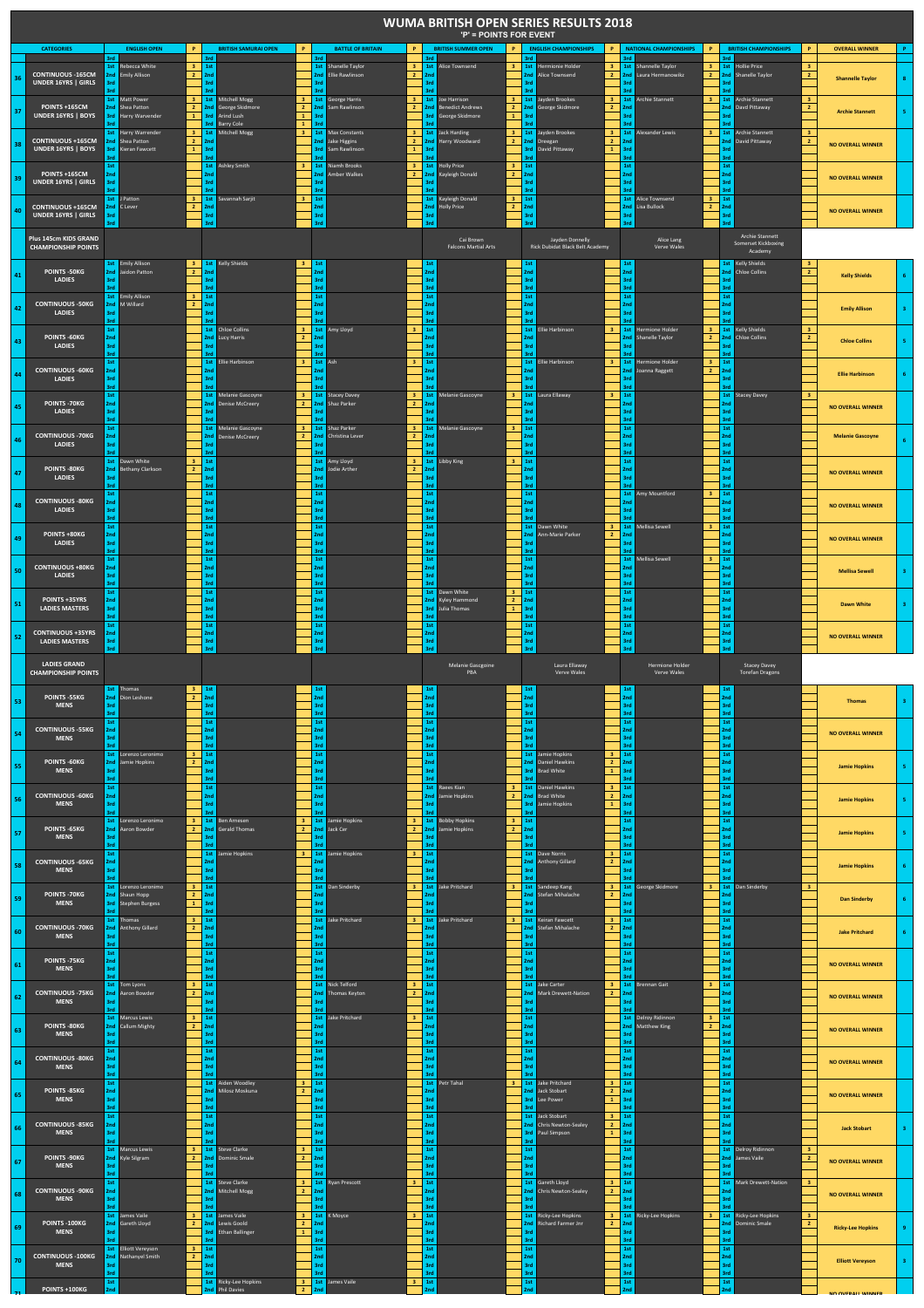|                                                                                                                                                                                                                                                |                                                        |                                             |                                                                    |                                                    |                                                                                |                                                                                        |                                                                                          | 'P' = POINTS FOR EVENT                                                   |                                                                                  | <b>WUMA BRITISH OPEN SERIES RESULTS 2018</b>               |                                                                                        |                                                                                                                                              |                                     |                                                                      |                                                             |                          |    |
|------------------------------------------------------------------------------------------------------------------------------------------------------------------------------------------------------------------------------------------------|--------------------------------------------------------|---------------------------------------------|--------------------------------------------------------------------|----------------------------------------------------|--------------------------------------------------------------------------------|----------------------------------------------------------------------------------------|------------------------------------------------------------------------------------------|--------------------------------------------------------------------------|----------------------------------------------------------------------------------|------------------------------------------------------------|----------------------------------------------------------------------------------------|----------------------------------------------------------------------------------------------------------------------------------------------|-------------------------------------|----------------------------------------------------------------------|-------------------------------------------------------------|--------------------------|----|
|                                                                                                                                                                                                                                                | CATEGORIES                                             | 3rd                                         | <b>FNGLISH OPEN</b>                                                | <b>P</b>                                           | <b>BRITISH SAMURAL OPEN</b><br>3rd                                             | <b>P</b><br>3rd                                                                        | <b>BATTLE OF BRITAIN</b><br>P.                                                           | <b>BRITISH SUMMER OPEN</b><br>trd                                        | P.<br>3rd                                                                        | <b>FNGLISH CHAMPIONSHIPS</b>                               | P<br>trd.                                                                              | <b>P</b><br><b>NATIONAL CHAMPIONSHIPS</b>                                                                                                    | 3rd                                 | <b>BRITISH CHAMPIONSHIPS</b>                                         | P.                                                          | <b>OVERALL WINNER</b>    |    |
|                                                                                                                                                                                                                                                | <b>CONTINUOUS -165CM</b><br><b>UNDER 16YRS   GIRLS</b> | 2nd<br>3rd                                  | 1st Rebecca White<br><b>Emily Allison</b><br><b>1st</b> Matt Power | 3 <sup>1</sup><br>2 <sup>7</sup><br>3 <sup>1</sup> | 1st<br>3rd<br>1st Mitchell Mogg                                                | 3rd<br>$\overline{\mathbf{3}}$                                                         | 1st Shanelle Taylor<br>2nd Ellie Rawlinson<br>2 <sup>1</sup><br>1st George Harris        | 3 1st Alice Townsend<br>2nd<br>3rd<br>trd<br>3 1st Joe Harrison          | 1st<br>3 <sup>7</sup><br>2nd<br>3rd<br>2nd<br>3 <sup>1</sup><br>1st              | Hermionie Holder<br>Alice Townsend<br>layden Brookes       | $2 \mid 2nd$<br>3rd                                                                    | 3 1st Shannelle Taylor<br>$\overline{\mathbf{3}}$<br>Laura Hermanowikz<br>2 <sup>7</sup><br>3 1st Archie Stannett<br>$\overline{\mathbf{3}}$ | 1st<br>2nd<br>3rd                   | <b>Hollie Price</b><br>Shanelle Taylor<br><b>1st</b> Archie Stannett | 3 <sup>°</sup><br>$\overline{2}$<br>$\overline{\mathbf{3}}$ | <b>Shannelle Taylor</b>  |    |
| 37                                                                                                                                                                                                                                             | <b>POINTS +165CM</b><br>UNDER 16YRS   BOYS             |                                             | 2nd Shea Patton<br><b>3rd</b> Harry Warvender                      | 2 <sup>7</sup><br>$\mathbf{1}$                     | George Skidmore<br>2nd<br>3rd<br><b>Arind Lush</b><br>3rd<br><b>Barry Cole</b> | $\overline{2}$<br>$\mathbf{1}$<br>3rd<br>$\mathbf 1$                                   | 2nd Sam Rawlinson<br>$2$ 2nd                                                             | <b>Benedict Andrews</b><br><b>3rd</b> George Skidmore<br><b>Srd</b>      | $\overline{2}$<br>$\mathbf{1}$<br>3rd                                            | 2nd George Skidmore                                        | $2$ 2nd<br>3rd                                                                         |                                                                                                                                              | 2nc<br>3rc                          | Davd Pittaway                                                        | $\overline{2}$                                              | <b>Archie Stannett</b>   |    |
|                                                                                                                                                                                                                                                | <b>CONTINUOUS +165CM</b><br>UNDER 16YRS   BOYS         | 3rd<br><b>Ans</b>                           | 1st Harry Warrender<br>2nd Shea Patton<br>Kieran Fawcett           | 3 <sup>1</sup><br>$\overline{2}$<br>$\mathbf{1}^-$ | 1st Mitchell Mogg<br>2nd<br>3rd<br>3rd                                         | $\mathbf{3}$<br>3rd                                                                    | <b>1st</b> Max Constants<br>$2$ 2nd<br>2nd Jake Higgins<br><b>3rd</b> Sam Rawlinson<br>1 | 3 1st Jack Harding<br>Harry Woodward<br>3rd<br>3rd                       | 3 <sub>1</sub><br>1st<br>$\overline{2}$<br>3rd<br>3rd                            | Jayden Brookes<br>2nd Dreegan<br>David Pittaway            | $\overline{\mathbf{3}}$<br>1st<br>$\overline{2}$<br>2 <sub>nd</sub><br>1<br>3rd<br>3rd | <b>Alexander Lewis</b><br>3 <sup>2</sup>                                                                                                     | 2nd<br>3rc<br>3rd                   | 1st Archie Stannett<br>David Pittaway                                | $\overline{\mathbf{3}}$<br>$\overline{2}$                   | <b>NO OVERALL WINNER</b> |    |
| 39                                                                                                                                                                                                                                             | POINTS +165CM<br>UNDER 16YRS   GIRLS                   | 1st<br>2nc<br>3rd                           |                                                                    |                                                    | Ashley Smith<br>1st<br>2nd<br>3rd                                              | $\mathbf{3}$<br>2nd<br>3rd                                                             | 1st Niamh Brooks<br>$\overline{\mathbf{3}}$<br><b>Amber Walkes</b><br>$\overline{2}$     | 1st Holly Price<br>2nd<br>Kayleigh Donald<br>3rd<br>3rd                  | 1st<br>$\mathbf{3}$<br>$\overline{2}$<br>2nd<br>3rd<br>3rd                       |                                                            | 1st<br>2nd<br>3rd<br>3rd                                                               |                                                                                                                                              | 1st<br>2nd<br>3rd<br>3rd            |                                                                      |                                                             | <b>NO OVERALL WINNER</b> |    |
| 40.                                                                                                                                                                                                                                            | <b>CONTINUOUS +165CM</b><br><b>UNDER 16YRS I GIRLS</b> | İst<br>3rd<br>3rd                           | J Patton<br>2nd C Lever                                            | 3<br>$\overline{2}$                                | 1st<br>Savannah Sariit<br>2nd<br>3rd<br>3rd                                    | 3<br>1st<br>nd.<br>3rd<br>3rd                                                          |                                                                                          | 1st<br>Kayleigh Donald<br>2nd<br><b>Holly Price</b><br>3rd<br>3rd        | 1st<br>3<br>$\overline{2}$<br>2nd<br>3rd<br>3rd                                  |                                                            | 1st<br>2nd<br>3rd<br>3rd                                                               | Alice Townsend<br>3<br>Lisa Bullock<br>$\overline{2}$                                                                                        | 1st<br>2nd<br>3rd<br>3rd            |                                                                      |                                                             | <b>NO OVERALL WINNER</b> |    |
| <b>Archie Stannett</b><br>Plus 145cm KIDS GRAND<br>Cai Brown<br>Jayden Donnelly<br>Alice Lang<br>Somerset Kickboxing<br><b>CHAMPIONSHIP POINTS</b><br><b>Falcons Martial Arts</b><br>Rick Dubidat Black Belt Academy<br>Verve Wales<br>Academy |                                                        |                                             |                                                                    |                                                    |                                                                                |                                                                                        |                                                                                          |                                                                          |                                                                                  |                                                            |                                                                                        |                                                                                                                                              |                                     |                                                                      |                                                             |                          |    |
| 41                                                                                                                                                                                                                                             | POINTS - 50KG<br><b>LADIES</b>                         | 2nd<br>3rd<br>3rd                           | 1st Emily Allison<br><b>Jaidon Patton</b>                          | 3 <sup>1</sup><br>$\overline{2}$                   | 1st Kelly Shields<br>3r<br>3rd                                                 | $\overline{\mathbf{3}}$<br>1st<br>3rd<br>3rd                                           |                                                                                          | 1st<br>2nd<br>3rc<br>3rd                                                 | 1st<br>2 <sub>nd</sub><br>3rd<br>3rd                                             |                                                            | 1st<br>2nd<br>3rd<br>3rd                                                               |                                                                                                                                              | 2nd<br>3rd<br>3rd                   | 1st Kelly Shields<br><b>Chloe Collins</b>                            | $\,$ 3<br>$\overline{2}$                                    | <b>Kelly Shields</b>     |    |
| 42                                                                                                                                                                                                                                             | <b>CONTINUOUS - 50KG</b><br><b>LADIES</b>              | 3rd<br>₹rd                                  | 1st Emily Allison<br>2nd M Willard                                 | 3<br>$\overline{2}$                                | 1st<br>2nd<br>3rd                                                              | 1st<br>2nd<br>3rd                                                                      |                                                                                          | 1st<br>2nd<br>3rd<br>3rd                                                 | 1st<br>2 <sub>nd</sub><br>3rd<br>3rd                                             |                                                            | 1st<br>2nd<br>3rd<br>3rd                                                               |                                                                                                                                              | 1st<br>2nd<br>3rd                   |                                                                      |                                                             | <b>Emily Allison</b>     |    |
| 43                                                                                                                                                                                                                                             | POINTS -60KG<br><b>LADIES</b>                          | 1st<br>2nd<br>3rd<br>3rd                    |                                                                    |                                                    | <b>Chloe Collins</b><br>1st<br>2nd<br>Lucy Harris<br>3rd<br>2rd                | $\mathbf{3}$<br>$\overline{2}$<br>2nd<br>3rd                                           | 1st Amy Lloyd                                                                            | 1st<br>2nd<br>3rd<br>3rd                                                 | 1st<br>3rd<br>3rd                                                                | Ellie Harbinson                                            | 1st<br>3<br>2nd<br>3rd<br>3rd                                                          | <b>Hermione Holder</b><br><b>Shanelle Taylor</b><br>2 <sup>1</sup>                                                                           | 1st<br>3rd<br>3rd                   | <b>Kelly Shields</b><br>2nd Chloe Collins                            | з<br>$\overline{2}$                                         | <b>Chloe Collins</b>     |    |
| 44                                                                                                                                                                                                                                             | <b>CONTINUOUS -60KG</b><br><b>LADIES</b>               | 1st<br>2nd<br>3rd<br>3rd                    |                                                                    |                                                    | <b>1st</b> Ellie Harbinson<br>3rd                                              | $\overline{\mathbf{3}}$<br>3rd                                                         | 1st Ash<br>$\overline{\mathbf{3}}$                                                       | 1st<br>2nd<br>3rd<br>3rd                                                 | 1st<br>3rd<br>3rd                                                                | Ellie Harbinson                                            | 1st<br>$\overline{\mathbf{3}}$<br>!nd<br>3rd                                           | Hermione Holder<br>$\mathbf{3}$<br>$\mathbf{2}$<br>Ioanna Raggett                                                                            | 1st<br>2nd<br>3rd                   |                                                                      |                                                             | <b>Filie Harbinson</b>   |    |
| 45                                                                                                                                                                                                                                             | POINTS - 70KG<br><b>LADIES</b>                         | 1st<br>2nd<br>3rd<br>3rd                    |                                                                    |                                                    | 1st Melanie Gascoyne<br>Denise McCreery<br>2nd<br>3rd<br>3rd                   | $\overline{\mathbf{3}}$<br>$\overline{2}$<br>2nd                                       | 1st Stacey Davey<br>3 <sup>1</sup><br>Shaz Parker<br>$\overline{2}$                      | 1st Melanie Gascoyne<br>2nd<br>3rd<br>3rd                                | 3 <sup>2</sup><br>1st<br>3rd<br>3rd                                              | Laura Ellaway                                              | $\overline{\mathbf{3}}$<br>1st<br>!nd<br>3rd<br>3rd                                    |                                                                                                                                              | 2nd<br>3rd<br>3rd                   | 1st Stacey Davey                                                     | $\overline{\mathbf{3}}$                                     | <b>NO OVERALL WINNER</b> |    |
| 46                                                                                                                                                                                                                                             | <b>CONTINUOUS - 70KG</b><br><b>LADIES</b>              | 1st<br>2nd<br>3rd<br>3rd                    |                                                                    |                                                    | 1st Melanie Gascoyne<br>2nd Denise McCreery<br>3rd<br>3rd                      | $\mathbf{3}$<br>$\overline{2}$<br>3rd<br>3rd                                           | 1st Shaz Parker<br>3 <sup>1</sup><br>$\overline{2}$<br>2nd Christina Lever               | 1st Melanie Gascoyne<br>2nd<br>3rd<br>3rd                                | 3<br>1st<br>2nd<br>3rc<br>3rd                                                    |                                                            | 1st<br>2nd<br>3rd<br>3rd                                                               |                                                                                                                                              | 1st<br>2nd<br>3rd<br>3rd            |                                                                      |                                                             | <b>Melanie Gascovne</b>  |    |
| 47                                                                                                                                                                                                                                             | POINTS -80KG<br><b>LADIES</b>                          | 3rd<br>3rd                                  | 1st Dawn White<br>2nd Bethany Clarkson                             | 3<br>$\overline{2}$                                | 1st<br>2nd<br>3rd<br>3rd                                                       | 3rd<br>3rd                                                                             | 1st Amy Lloyd<br>$2 \mid 2nd$<br>2nd Jodie Arther                                        | 3 1st Libby King<br>3rd<br>3rd                                           | $\mathbf{3}$<br>1st<br>2 <sub>nd</sub><br>3rd<br>3rd                             |                                                            | $1st$<br>2 <sub>nd</sub><br>3rd<br>3rd                                                 |                                                                                                                                              | 1st<br>2nd<br>3rd<br>3rd            |                                                                      |                                                             | <b>NO OVERALL WINNER</b> |    |
| 48                                                                                                                                                                                                                                             | <b>CONTINUOUS - 80KG</b><br>LADIES                     | 1st<br>2nd<br>3rd<br>3rd                    |                                                                    |                                                    | 1st<br>2nd<br>3rd<br>3rd                                                       | $1st$<br>2nd<br>3rd<br>3rd                                                             |                                                                                          | $1st\,$<br>2nd<br>3rd<br>3rd                                             | 1st<br>2 <sub>nd</sub><br>3rd                                                    |                                                            | 2 <sub>nd</sub><br>3rd<br>3rd                                                          | 1st Amy Mountford<br>$\overline{\mathbf{3}}$                                                                                                 | $1st\,$<br>2nd<br>3rd<br>3rd        |                                                                      |                                                             | <b>NO OVERALL WINNER</b> |    |
| 49                                                                                                                                                                                                                                             | POINTS +80KG<br>LADIES                                 | 1st<br>2nd<br>3rd<br>3rd                    |                                                                    |                                                    | 1st<br>2nd<br>3rd<br>3rd                                                       | $1st$<br>2nd<br>3rd<br>3rd                                                             |                                                                                          | 1st<br>2nd<br>3rd<br>3rd                                                 | 1st<br>2nd<br>3rd                                                                | Dawn White<br>Ann-Marie Parker                             | $2$ 2nd<br>3rd                                                                         | 3 1st Mellisa Sewell<br>$\overline{\mathbf{3}}$                                                                                              | $1st\,$<br>2nd<br>3rd<br>3rd        |                                                                      |                                                             | <b>NO OVERALL WINNER</b> |    |
| 50                                                                                                                                                                                                                                             | <b>CONTINUOUS +80KG</b><br>LADIES                      | 1st<br>2nd<br>3rd<br>3rd                    |                                                                    |                                                    | 1st<br>2nd<br>3rd<br>3rd                                                       | $1st$<br>2nd<br>3rd<br>3rd                                                             |                                                                                          | 1st<br>2nd<br>3rd<br>3rd                                                 | 1st<br>2nd<br>3rd                                                                |                                                            | 2nd<br>3rd<br>3rd                                                                      | 1st Mellisa Sewell<br>$\overline{\mathbf{3}}$                                                                                                | $1st\,$<br>2nd<br>3rd<br>3rd        |                                                                      |                                                             | <b>Mellisa Sewell</b>    |    |
| 51                                                                                                                                                                                                                                             | POINTS +35YRS<br><b>LADIES MASTERS</b>                 | 1st<br>2nd<br>3rd<br>3rd<br>1st             |                                                                    |                                                    | 1st<br>2nd<br>3rd<br>3rd<br>1st                                                | 1st<br>2nd<br>3rd<br>3rd<br>1st                                                        |                                                                                          | 1st Dawn White<br>2nd Kyley Hammond<br>3rd<br>Julia Thomas<br>3rd<br>1st | $\mathbf{3}$<br>1st<br>2 <sup>7</sup><br>2nd<br>$\mathbf 1$<br>3rd<br>3rd<br>1st |                                                            | $1st\,$<br>2 <sub>nd</sub><br>3rd<br>3rd<br>1st                                        |                                                                                                                                              | 1st<br>2nd<br>3rd<br>3rd<br>1st     |                                                                      |                                                             | <b>Dawn White</b>        |    |
| 52                                                                                                                                                                                                                                             | <b>CONTINUOUS +35YRS</b><br><b>LADIES MASTERS</b>      | 2nd<br>3rd<br>3rd                           |                                                                    |                                                    | 2nd<br>3rd<br>3rd                                                              | 2nd<br>3rd                                                                             |                                                                                          | 2nd<br>3rd<br>3rd                                                        | 2nd<br>3rd<br>3rd                                                                |                                                            | 2nd<br>3rd<br>3rd                                                                      |                                                                                                                                              | 2nd<br>3rd<br>3rd                   |                                                                      |                                                             | <b>NO OVERALL WINNER</b> |    |
|                                                                                                                                                                                                                                                |                                                        |                                             |                                                                    |                                                    |                                                                                |                                                                                        |                                                                                          |                                                                          |                                                                                  |                                                            |                                                                                        |                                                                                                                                              |                                     |                                                                      |                                                             |                          |    |
|                                                                                                                                                                                                                                                | <b>LADIES GRAND</b><br><b>CHAMPIONSHIP POINTS</b>      |                                             |                                                                    |                                                    |                                                                                |                                                                                        |                                                                                          | Melanie Gascgoine<br>PBA                                                 |                                                                                  | Laura Ellaway<br>Verve Wales                               |                                                                                        | <b>Hermione Holder</b><br>Verve Wales                                                                                                        |                                     | <b>Stacey Davey</b><br><b>Torefan Dragons</b>                        |                                                             |                          |    |
|                                                                                                                                                                                                                                                | POINTS -55KG<br><b>MENS</b>                            | 2nd<br>3rd                                  | 1st Thomas<br>Dion Leshone                                         | 3 <sub>1</sub><br>$\overline{2}$                   | 1st<br>2nd<br>3rd                                                              | 1st                                                                                    |                                                                                          | 1st<br>2nd<br>3rd                                                        | 1st<br>2nd<br>3rd                                                                |                                                            | $1st$<br>2nd<br>3rd                                                                    |                                                                                                                                              | 1st<br>2nd<br>3rd                   |                                                                      |                                                             | <b>Thomas</b>            |    |
| 53<br>54                                                                                                                                                                                                                                       | <b>CONTINUOUS -55KG</b><br><b>MENS</b>                 | 1st<br>2nd<br>3rd                           |                                                                    |                                                    | 1st<br>2nd<br>3rd<br>3rd                                                       | 3rd<br>3rd                                                                             |                                                                                          | 1st<br>2nd<br>3rd<br>3rd                                                 | 1st<br>2nd<br>3rd<br>3rd                                                         |                                                            | 1st<br>2nd<br>3rd<br>3rd                                                               |                                                                                                                                              | 1st<br>2nd<br>3rd<br>3rd            |                                                                      |                                                             | <b>NO OVERALL WINNER</b> |    |
| 55                                                                                                                                                                                                                                             | <b>POINTS -60KG</b><br><b>MENS</b>                     | 2nd<br>3rd<br>3rd                           | 1st Lorenzo Leronimo<br>Jamie Hopkins                              | 3<br>$\overline{2}$                                | 1st<br>2nd<br>3rd<br>3rd                                                       | 1st<br>2nd<br>3rd<br>3rd                                                               |                                                                                          | 1st<br>2nd<br>3rd<br>3rd                                                 | 2nd<br>3rd<br>3rd                                                                | 1st Jamie Hopkins<br><b>Daniel Hawkins</b><br>Brad White   | $\overline{\mathbf{3}}$<br>1st<br>$\mathbf{2}$<br>2nd<br>$\mathbf{1}$<br>3rd<br>3rd    |                                                                                                                                              | 1st<br>2nd<br>3rd<br>3rd            |                                                                      |                                                             | <b>Jamie Hopkins</b>     |    |
| 56                                                                                                                                                                                                                                             | <b>CONTINUOUS -60KG</b><br><b>MENS</b>                 | 1st<br>2nd<br>3rd                           |                                                                    |                                                    | 1st<br>2nd<br>3rd                                                              | 1st<br>2nd<br>3rd                                                                      |                                                                                          | 1st Raees Kian<br>2nd Jamie Hopkins<br>3rd<br>۹'n                        | 3 <sup>7</sup><br>2 <sup>7</sup><br>3rd<br>3rd                                   | 1st Daniel Hawkins<br>2nd Rrad White<br>lamie Hopkins      | 1st<br>$\overline{\mathbf{3}}$<br>$2$ 2nd<br>$\mathbf{1}^-$<br>3rd<br>3rd              |                                                                                                                                              | $1st\,$<br>2nd<br>3rd<br>3rd        |                                                                      |                                                             | <b>Jamie Hopkins</b>     |    |
| 57                                                                                                                                                                                                                                             | POINTS -65KG<br><b>MENS</b>                            | 2nd<br>3rd<br>₹rd                           | 1st Lorenzo Leronimo<br>Aaron Bowder                               | 3<br>$\mathbf{2}$                                  | 1st Ben Arnesen<br>2nd Gerald Thomas<br>3rd                                    | 3<br>$\overline{2}$<br>3rd<br>3rd                                                      | 1st Jamie Hopkins<br>2nd Jack Cer                                                        | 3 1st Bobby Hopkins<br>2 2nd Jamie Hopkins<br>3rd<br>3rd                 | 3 <sup>7</sup><br>1st<br>2 <sub>1</sub><br>2nd<br>3rd<br>3rd                     |                                                            | $1st$<br>2nd<br>3rd<br>3rd                                                             |                                                                                                                                              | 1st<br>2nd<br>3rd<br>3rd            |                                                                      |                                                             | <b>Jamie Hopkins</b>     | s  |
| 58                                                                                                                                                                                                                                             | <b>CONTINUOUS -65KG</b><br><b>MENS</b>                 | 1st<br>2 <sub>nc</sub><br>3rd               |                                                                    |                                                    | 1st<br>Jamie Hopkins<br>3rd<br>3rd                                             | $\overline{\mathbf{3}}$<br>3rd                                                         | $3 \mid 1st$<br>1st Jamie Hopkins                                                        | 2nd<br>3rd<br>۹'n                                                        | 2nd<br>3rd                                                                       | 1st Dave Norris<br><b>Anthony Gillard</b>                  | $1st\,$<br>$\overline{\mathbf{3}}$<br>$\mathbf{2}$<br>2nd<br>3rd                       |                                                                                                                                              | $1st\,$<br>2nd<br>3rd               |                                                                      |                                                             | <b>Jamie Hopkins</b>     | 6. |
| 59                                                                                                                                                                                                                                             | POINTS - 70KG<br><b>MENS</b>                           | 2nd<br>3rd                                  | 1st Lorenzo Leronimo<br>Shaun Hopp<br><b>3rd</b> Stephen Burgess   | 3 <sup>7</sup><br>$\overline{2}$<br>$\mathbf{1}$   | 1st<br>2nd<br>3rd<br>3rd                                                       | 3rd                                                                                    | 1st Dan Sinderby                                                                         | 3 1st Jake Pritchard<br>2nd<br>3rd<br>s<br>rc                            | 3 <sup>1</sup><br>2nd<br>3rd                                                     | 1st Sandeep Kang<br>Stefan Mihalache                       | $2$ 2nd<br>3rd<br><b>Srd</b>                                                           | <b>3</b> 1st George Skidmore<br>3 <sup>2</sup>                                                                                               | 2nd<br>3rd<br>3rd                   | 1st Dan Sinderby                                                     | $\overline{\mathbf{3}}$                                     | <b>Dan Sinderby</b>      | 6  |
| 60                                                                                                                                                                                                                                             | <b>CONTINUOUS - 70KG</b><br><b>MENS</b>                | 3rd<br>3rd                                  | 1st Thomas<br>2nd Anthony Gillard                                  | $\overline{\mathbf{3}}$<br>$\overline{2}$          | 1st<br>2nd<br>3rd<br>3rd                                                       | 2nd<br>3rd<br>3rd                                                                      | 1st Jake Pritchard<br>$\mathbf{R}$                                                       | 1st Jake Pritchard<br>2 <sub>nd</sub><br>3rc<br>3rd                      | 3 <sup>7</sup><br>1st<br>2nd<br>3rd<br>3rd                                       | Keiran Fawcett<br>Stefan Mihalache                         | $\overline{\mathbf{3}}$<br>1st<br>$\overline{2}$<br>2nd<br>3rd<br>3rd                  |                                                                                                                                              | $1st$<br>2nd<br>3rd<br>3rd          |                                                                      |                                                             | <b>Jake Pritchard</b>    | 6  |
| 61                                                                                                                                                                                                                                             | POINTS -75KG<br><b>MENS</b>                            | 1st<br>2nd<br>3rd                           |                                                                    |                                                    | 1st<br>2nd<br>3rd<br>3rd                                                       | 1st<br>2nd<br>3rd                                                                      |                                                                                          | $1st\,$<br>2nd<br>3rd<br>3rd                                             | 1st<br>2nd<br>3rd<br>3rd                                                         |                                                            | $1st\,$<br>2nd<br>3rd                                                                  |                                                                                                                                              | $1st\,$<br>2nd<br>3rd<br>3rd        |                                                                      |                                                             | <b>NO OVERALL WINNER</b> |    |
|                                                                                                                                                                                                                                                | <b>CONTINUOUS - 75KG</b><br><b>MENS</b>                | 2nd<br>3rd                                  | 1st Tom Lyons<br>Aaron Bowder                                      | $\mathbf{3}$<br>$\overline{2}$                     | 1st<br>2nd<br>3rd<br>3rd                                                       | 3rd                                                                                    | 1st Nick Telford<br>$\mathbf{3}$<br>2nd Thomas Keyton<br>$\overline{2}$<br>$\mathbf{R}$  | $1st$<br>2nd<br>3rd<br>3rd                                               | 1st<br>2nd<br>3rd<br>3rd                                                         | <b>Jake Carter</b><br>Mark Drewett-Nation                  | $\overline{\mathbf{3}}$<br>$2$ 2nd<br>3rd                                              | 1st Brennan Gait<br>$\mathbf{R}$<br>$\mathbf{R}$                                                                                             | $1st$<br>2nd<br>3rd<br>3rd          |                                                                      |                                                             | <b>NO OVERALL WINNER</b> |    |
|                                                                                                                                                                                                                                                | POINTS -80KG<br><b>MENS</b>                            | 3rd<br>3rd                                  | 1st Marcus Lewis<br>2nd Callum Mighty                              | $\mathbf{3}$<br>$\overline{2}$                     | 1st<br>2nd<br>3rd<br>3rd                                                       | 2nd<br>3rd<br>3rd                                                                      | 1st Jake Pritchard                                                                       | $1st$<br>2nd<br>3rc<br>3rd                                               | 1st<br>2 <sub>nd</sub><br>3rd<br>3rd                                             |                                                            | 3rd<br>3rd                                                                             | <b>1st</b> Delroy Ridinnon<br>$\overline{2}$<br>2nd Matthew King                                                                             | $1st$<br>2nd<br>3rd<br>3rd          |                                                                      |                                                             | <b>NO OVERALL WINNER</b> |    |
| 62<br>63<br>64                                                                                                                                                                                                                                 | <b>CONTINUOUS - 80KG</b><br><b>MENS</b>                | 1st<br>2 <sub>nd</sub><br>3rd<br>3rd<br>1st |                                                                    |                                                    | 1st<br>2nd<br>3rd                                                              | $1st\,$<br>2nd<br>3rd<br>3rd<br>$\mathbf{3}$<br>1st                                    |                                                                                          | $1st\,$<br>2nd<br>3rd<br>3rd                                             | 1st<br>2nd<br>3rd<br>3 <sup>7</sup>                                              |                                                            | $1st\,$<br>2nd<br>3rd<br>trd.<br>$\overline{\mathbf{3}}$                               |                                                                                                                                              | $1st\,$<br>2nd<br>3rd<br>3rd        |                                                                      |                                                             | <b>NO OVERALL WINNER</b> |    |
|                                                                                                                                                                                                                                                | POINTS -85KG<br><b>MENS</b>                            | 2nd<br>3rd<br>3rd                           |                                                                    |                                                    | 1st Aiden Woodley<br>2nd Milosz Moskuna<br>3rd<br>1st                          | $\overline{2}$<br>2nd<br>3rd<br>3rd                                                    |                                                                                          | 1st Petr Tahal<br>2nd<br>3rd<br>3rd                                      | 2nd<br>3rd<br>3rd<br>1st                                                         | 1st Jake Pritchard<br><b>Jack Stobart</b><br>Lee Power     | 1st<br>$\overline{2}$<br>2nd<br>$\mathbf{1}$<br>3rd<br>3rd                             |                                                                                                                                              | $1st$<br>2nd<br>3rd<br>3rd          |                                                                      |                                                             | <b>NO OVERALL WINNER</b> |    |
| 65<br>66                                                                                                                                                                                                                                       | <b>CONTINUOUS -85KG</b><br><b>MENS</b>                 | 1st<br>2nd<br>3rd                           |                                                                    |                                                    | 2nd<br>3rd                                                                     | 1st<br>2nd<br>3rd<br>3rd                                                               |                                                                                          | 1st<br>2nd<br>3rd<br>3rd                                                 | 2nd<br>3rd<br>3rd                                                                | <b>Jack Stobart</b><br>Chris Newton-Sealey<br>Paul Simpson | 1st<br>$\mathbf{3}$<br>$\overline{2}$<br>2nd<br>3rd<br>$\mathbf{1}$<br>3rd             |                                                                                                                                              | $1st\,$<br>2nd<br>3rd               |                                                                      |                                                             | <b>Jack Stobart</b>      |    |
| 67                                                                                                                                                                                                                                             | POINTS -90KG<br><b>MENS</b>                            | 2nd<br>3rd                                  | 1st Marcus Lewis<br>Kyle Silgram                                   | 3 <sup>7</sup><br>$\overline{2}$                   | <b>1st</b> Steve Clarke<br>2nd Dominic Smale<br>3rd                            | 3<br>1st<br>$\mathbf{2}$<br>!nd<br>3rd                                                 |                                                                                          | 1st<br>2nd<br>3rd<br>3rd                                                 | 1st<br>2nd<br>3rd                                                                |                                                            | 1st<br>2nd<br>3rd<br>3rd                                                               |                                                                                                                                              | 2nd<br>3rd                          | 1st Delroy Ridinnon<br>James Vaile                                   | $\mathbf{3}$<br>$\overline{2}$                              | <b>NO OVERALL WINNER</b> |    |
|                                                                                                                                                                                                                                                | <b>CONTINUOUS - 90KG</b><br><b>MENS</b>                | 1st<br>2nd<br>3rd                           |                                                                    |                                                    | <b>1st</b> Steve Clarke<br>2nd<br>Mitchell Mogg<br>3rd                         | $\overline{\mathbf{3}}$<br>$\overline{2}$<br>?nd<br>3rd                                | <b>1st</b> Ryan Prescott<br>3                                                            | 1st<br>2nd<br>3rd<br>3rd                                                 | 2nd<br>3rd<br>3rd                                                                | 1st Gareth Lloyd<br>Chris Newton-Sealey                    | $\mathbf{3}$<br>1st<br>$\overline{2}$<br>2nd<br>3rd<br>3rd                             |                                                                                                                                              | 2nd<br>3rd                          | 1st Mark Drewett-Nation                                              | $\overline{\mathbf{3}}$                                     | <b>NO OVERALL WINNER</b> |    |
| 68<br>69                                                                                                                                                                                                                                       | POINTS -100KG<br><b>MENS</b>                           | 3rd<br>3rd                                  | 1st James Vaile<br>2nd Gareth Lloyd                                | 3<br>$\overline{2}$                                | 1st<br>James Vaile<br>2nd Lewis Goold<br>3rd<br><b>Ethan Ballinger</b><br>3rd  | $\overline{\mathbf{3}}$<br>$\overline{\mathbf{2}}$<br>2nd<br>$\,$ 1 $\,$<br>3rd<br>3rd | 1st K Moyce                                                                              | $1st$<br>2nd<br>3rd<br>3rd                                               | 1st<br>2nd<br>3rd<br>3rd                                                         | Ricky-Lee Hopkins<br>Richard Farmer Jnr                    | $\mathbf{2}$<br>2nd<br>3rd<br>3rd                                                      | 3 1st Ricky-Lee Hopkins<br>$\overline{\mathbf{3}}$                                                                                           | 2nd<br>3rd<br>3rd                   | 1st Ricky-Lee Hopkins<br><b>Dominic Smale</b>                        | $\mathbf{3}$<br>$\overline{2}$                              | <b>Ricky-Lee Hopkins</b> |    |
| 70                                                                                                                                                                                                                                             | <b>CONTINUOUS -100KG</b><br><b>MENS</b>                | 2nd<br>3rd<br>3rd<br>1st                    | 1st Elliott Vereyson<br>Nathanyel Smith                            | $\mathbf{3}$<br>$\mathbf{2}$                       | 1st<br>2nd<br>3rd<br>3rd<br>1st Ricky-Lee Hopkins                              | $1st$<br>2nd<br>3rd<br>$\mathbf{3}$                                                    | 1st James Vaile<br>$\overline{\mathbf{3}}$                                               | $1st\,$<br>2nd<br>3rd<br>3rd<br>1st                                      | 1st<br>2 <sub>nd</sub><br>3rd<br>3rd<br>1st                                      |                                                            | $1st\,$<br>2 <sub>nd</sub><br>3rd<br>3rd<br>$1st$                                      |                                                                                                                                              | $1st\,$<br>2nd<br>3rd<br>3rd<br>1st |                                                                      |                                                             | <b>Elliott Vereyson</b>  |    |